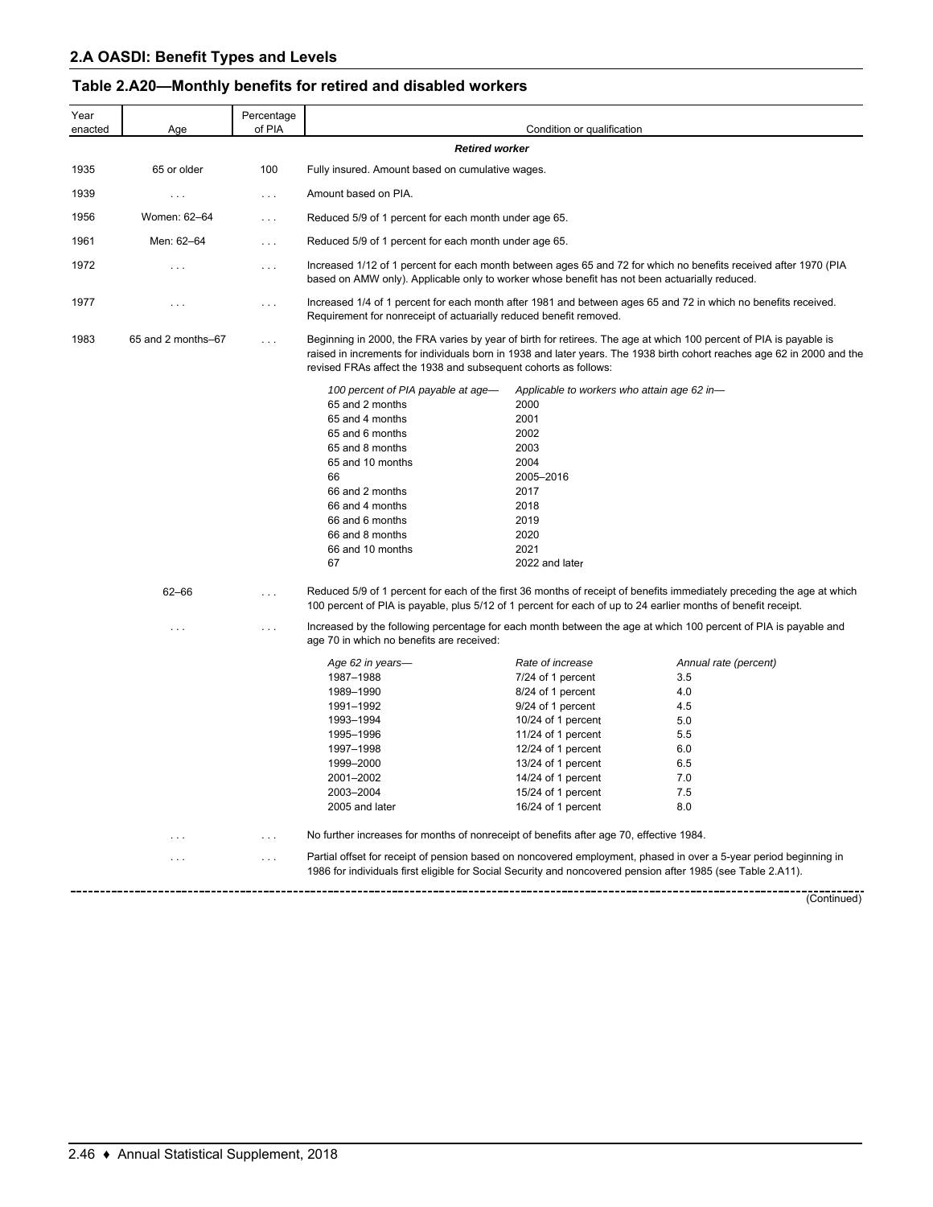# **Table 2.A20—Monthly benefits for retired and disabled workers**

| Year<br>enacted | Age                | Percentage<br>of PIA |                                                                                                                                                                                                                                                | Condition or qualification                                                                                                                                                                                                                |                                                                                                                         |
|-----------------|--------------------|----------------------|------------------------------------------------------------------------------------------------------------------------------------------------------------------------------------------------------------------------------------------------|-------------------------------------------------------------------------------------------------------------------------------------------------------------------------------------------------------------------------------------------|-------------------------------------------------------------------------------------------------------------------------|
|                 |                    |                      | <b>Retired worker</b>                                                                                                                                                                                                                          |                                                                                                                                                                                                                                           |                                                                                                                         |
| 1935            | 65 or older        | 100                  | Fully insured. Amount based on cumulative wages.                                                                                                                                                                                               |                                                                                                                                                                                                                                           |                                                                                                                         |
| 1939            | $\cdots$           | $\cdots$             | Amount based on PIA.                                                                                                                                                                                                                           |                                                                                                                                                                                                                                           |                                                                                                                         |
| 1956            | Women: 62-64       | $\cdots$             | Reduced 5/9 of 1 percent for each month under age 65.                                                                                                                                                                                          |                                                                                                                                                                                                                                           |                                                                                                                         |
| 1961            | Men: 62-64         | $\cdots$             | Reduced 5/9 of 1 percent for each month under age 65.                                                                                                                                                                                          |                                                                                                                                                                                                                                           |                                                                                                                         |
| 1972            | .                  | .                    | Increased 1/12 of 1 percent for each month between ages 65 and 72 for which no benefits received after 1970 (PIA<br>based on AMW only). Applicable only to worker whose benefit has not been actuarially reduced.                              |                                                                                                                                                                                                                                           |                                                                                                                         |
| 1977            | .                  | $\cdots$             | Increased 1/4 of 1 percent for each month after 1981 and between ages 65 and 72 in which no benefits received.<br>Requirement for nonreceipt of actuarially reduced benefit removed.                                                           |                                                                                                                                                                                                                                           |                                                                                                                         |
| 1983            | 65 and 2 months-67 | $\cdots$             | Beginning in 2000, the FRA varies by year of birth for retirees. The age at which 100 percent of PIA is payable is<br>revised FRAs affect the 1938 and subsequent cohorts as follows:                                                          |                                                                                                                                                                                                                                           | raised in increments for individuals born in 1938 and later years. The 1938 birth cohort reaches age 62 in 2000 and the |
|                 |                    |                      | 100 percent of PIA payable at age-<br>65 and 2 months<br>65 and 4 months<br>65 and 6 months<br>65 and 8 months<br>65 and 10 months<br>66<br>66 and 2 months<br>66 and 4 months<br>66 and 6 months<br>66 and 8 months<br>66 and 10 months<br>67 | Applicable to workers who attain age 62 in-<br>2000<br>2001<br>2002<br>2003<br>2004<br>2005-2016<br>2017<br>2018<br>2019<br>2020<br>2021<br>2022 and later                                                                                |                                                                                                                         |
|                 | $62 - 66$          | $\cdots$             | 100 percent of PIA is payable, plus 5/12 of 1 percent for each of up to 24 earlier months of benefit receipt.                                                                                                                                  |                                                                                                                                                                                                                                           | Reduced 5/9 of 1 percent for each of the first 36 months of receipt of benefits immediately preceding the age at which  |
|                 | .                  | $\cdots$             | Increased by the following percentage for each month between the age at which 100 percent of PIA is payable and<br>age 70 in which no benefits are received:                                                                                   |                                                                                                                                                                                                                                           |                                                                                                                         |
|                 |                    |                      | Age 62 in years-<br>1987-1988<br>1989-1990<br>1991-1992<br>1993-1994<br>1995-1996<br>1997-1998<br>1999-2000<br>2001-2002<br>2003-2004<br>2005 and later                                                                                        | Rate of increase<br>7/24 of 1 percent<br>8/24 of 1 percent<br>9/24 of 1 percent<br>10/24 of 1 percent<br>11/24 of 1 percent<br>12/24 of 1 percent<br>13/24 of 1 percent<br>14/24 of 1 percent<br>15/24 of 1 percent<br>16/24 of 1 percent | Annual rate (percent)<br>3.5<br>4.0<br>4.5<br>5.0<br>5.5<br>6.0<br>6.5<br>7.0<br>7.5<br>8.0                             |
|                 | $\cdots$           | $\cdots$             | No further increases for months of nonreceipt of benefits after age 70, effective 1984.                                                                                                                                                        |                                                                                                                                                                                                                                           |                                                                                                                         |
|                 | .                  | $\cdots$             | Partial offset for receipt of pension based on noncovered employment, phased in over a 5-year period beginning in<br>1986 for individuals first eligible for Social Security and noncovered pension after 1985 (see Table 2.A11).              |                                                                                                                                                                                                                                           |                                                                                                                         |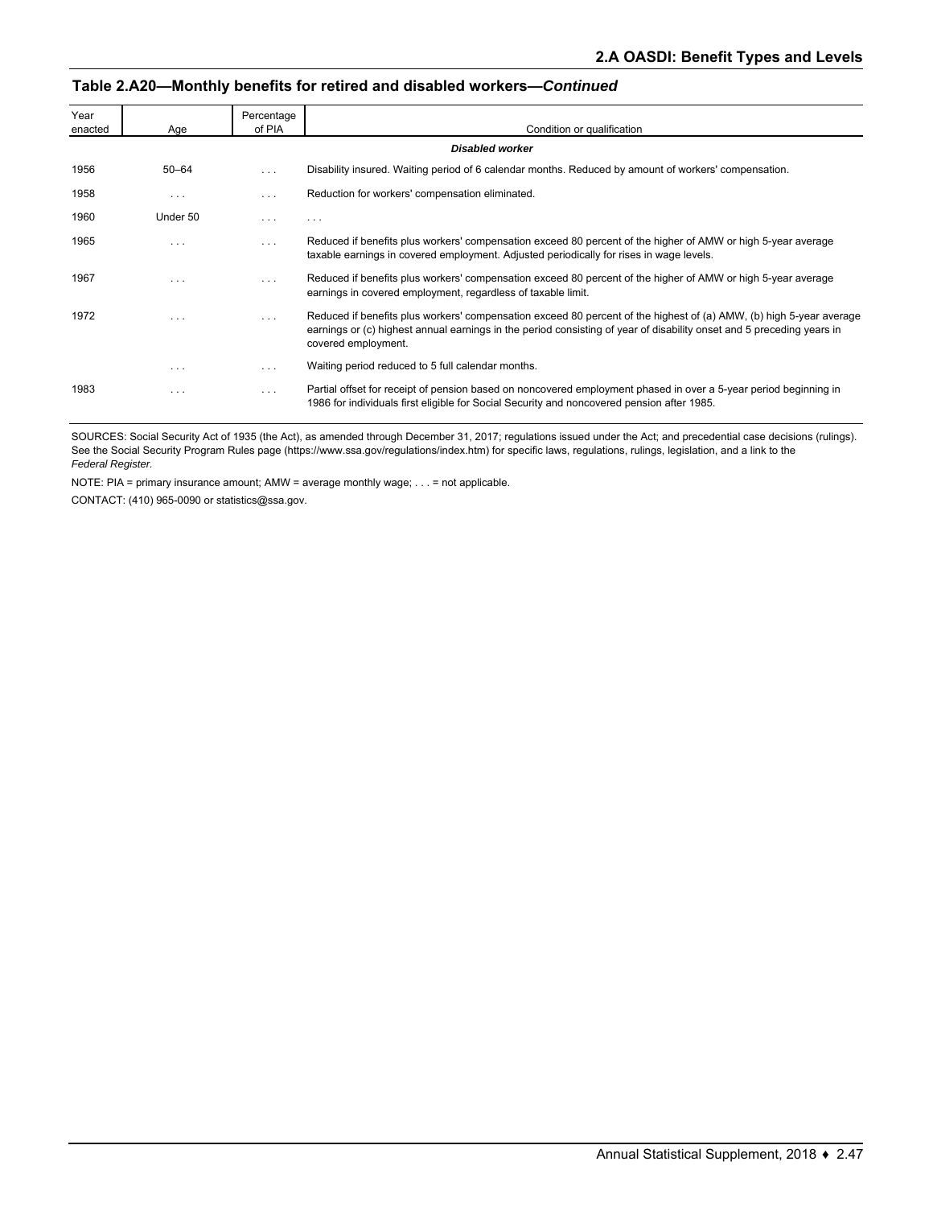#### **Table 2.A20—Monthly benefits for retired and disabled workers—***Continued*

| Year<br>enacted | Age       | Percentage<br>of PIA | Condition or qualification                                                                                                                                                                                                                                          |
|-----------------|-----------|----------------------|---------------------------------------------------------------------------------------------------------------------------------------------------------------------------------------------------------------------------------------------------------------------|
|                 |           |                      | <b>Disabled worker</b>                                                                                                                                                                                                                                              |
| 1956            | $50 - 64$ | $\cdots$             | Disability insured. Waiting period of 6 calendar months. Reduced by amount of workers' compensation.                                                                                                                                                                |
| 1958            | $\cdots$  | .                    | Reduction for workers' compensation eliminated.                                                                                                                                                                                                                     |
| 1960            | Under 50  | .                    | $\cdots$                                                                                                                                                                                                                                                            |
| 1965            | $\cdots$  | .                    | Reduced if benefits plus workers' compensation exceed 80 percent of the higher of AMW or high 5-year average<br>taxable earnings in covered employment. Adjusted periodically for rises in wage levels.                                                             |
| 1967            | .         | .                    | Reduced if benefits plus workers' compensation exceed 80 percent of the higher of AMW or high 5-year average<br>earnings in covered employment, regardless of taxable limit.                                                                                        |
| 1972            | $\cdots$  | $\cdots$             | Reduced if benefits plus workers' compensation exceed 80 percent of the highest of (a) AMW, (b) high 5-year average<br>earnings or (c) highest annual earnings in the period consisting of year of disability onset and 5 preceding years in<br>covered employment. |
|                 | $\cdots$  |                      | Waiting period reduced to 5 full calendar months.                                                                                                                                                                                                                   |
| 1983            | .         |                      | Partial offset for receipt of pension based on noncovered employment phased in over a 5-year period beginning in<br>1986 for individuals first eligible for Social Security and noncovered pension after 1985.                                                      |

SOURCES: Social Security Act of 1935 (the Act), as amended through December 31, 2017; regulations issued under the Act; and precedential case decisions (rulings). See the Social Security Program Rules page (https://www.ssa.gov/regulations/index.htm) for specific laws, regulations, rulings, legislation, and a link to the *Federal Register.*

NOTE: PIA = primary insurance amount; AMW = average monthly wage; . . . = not applicable.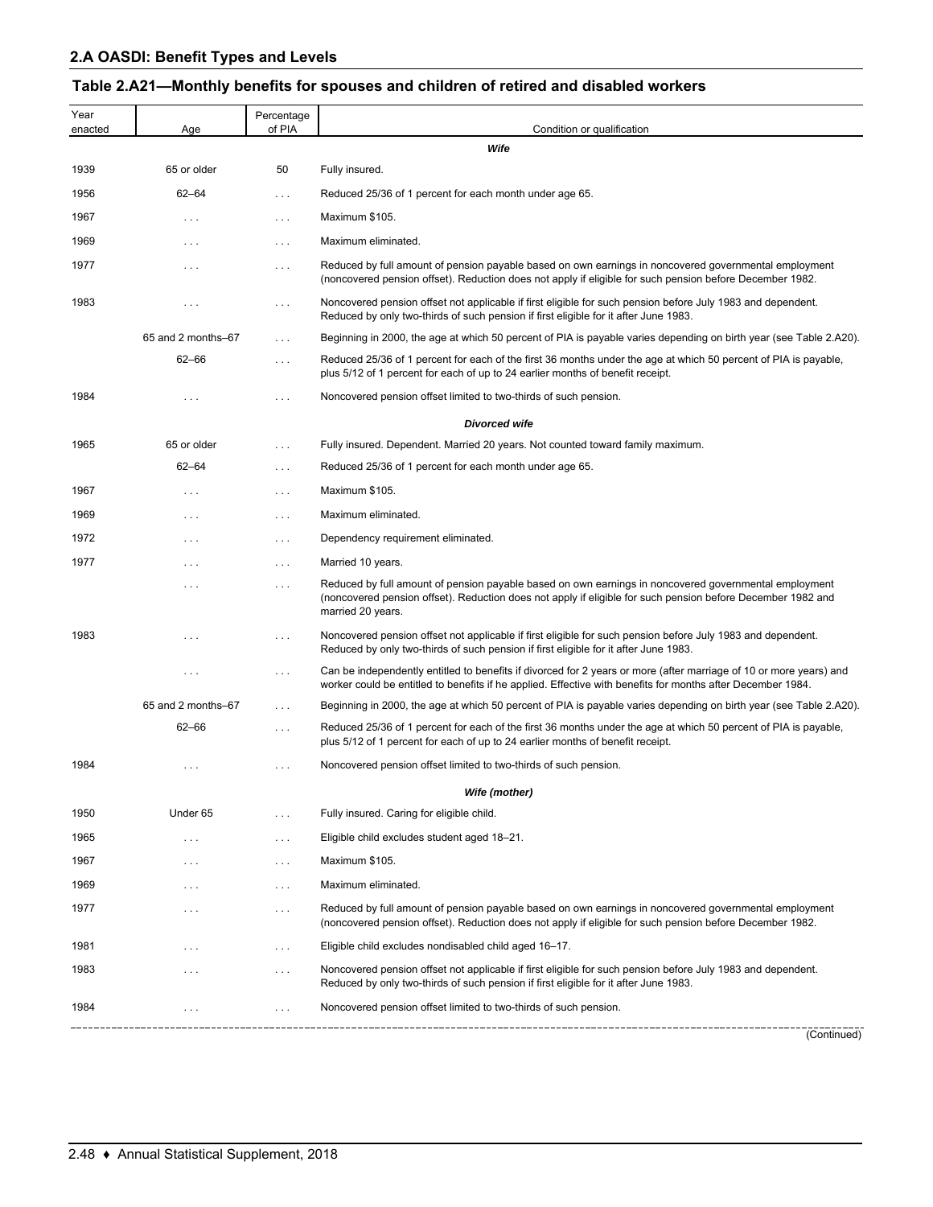# **Table 2.A21—Monthly benefits for spouses and children of retired and disabled workers**

| Year<br>enacted | Age                | Percentage<br>of PIA | Condition or qualification                                                                                                                                                                                                                |
|-----------------|--------------------|----------------------|-------------------------------------------------------------------------------------------------------------------------------------------------------------------------------------------------------------------------------------------|
|                 |                    |                      | Wife                                                                                                                                                                                                                                      |
| 1939            | 65 or older        | 50                   | Fully insured.                                                                                                                                                                                                                            |
| 1956            | $62 - 64$          | $\sim$ $\sim$ $\sim$ | Reduced 25/36 of 1 percent for each month under age 65.                                                                                                                                                                                   |
| 1967            | $\cdots$           | $\ldots$             | Maximum \$105.                                                                                                                                                                                                                            |
| 1969            | $\cdots$           | $\cdots$             | Maximum eliminated.                                                                                                                                                                                                                       |
| 1977            | $\cdots$           | $\cdots$             | Reduced by full amount of pension payable based on own earnings in noncovered governmental employment<br>(noncovered pension offset). Reduction does not apply if eligible for such pension before December 1982.                         |
| 1983            | $\cdots$           | $\cdots$             | Noncovered pension offset not applicable if first eligible for such pension before July 1983 and dependent.<br>Reduced by only two-thirds of such pension if first eligible for it after June 1983.                                       |
|                 | 65 and 2 months-67 | $\cdots$             | Beginning in 2000, the age at which 50 percent of PIA is payable varies depending on birth year (see Table 2.A20).                                                                                                                        |
|                 | $62 - 66$          | $\ldots$             | Reduced 25/36 of 1 percent for each of the first 36 months under the age at which 50 percent of PIA is payable,<br>plus 5/12 of 1 percent for each of up to 24 earlier months of benefit receipt.                                         |
| 1984            | $\cdots$           | $\cdots$             | Noncovered pension offset limited to two-thirds of such pension.                                                                                                                                                                          |
|                 |                    |                      | <b>Divorced wife</b>                                                                                                                                                                                                                      |
| 1965            | 65 or older        | $\sim$ $\sim$ $\sim$ | Fully insured. Dependent. Married 20 years. Not counted toward family maximum.                                                                                                                                                            |
|                 | $62 - 64$          | $\ldots$             | Reduced 25/36 of 1 percent for each month under age 65.                                                                                                                                                                                   |
| 1967            | $\cdots$           | $\sim$ $\sim$ $\sim$ | Maximum \$105.                                                                                                                                                                                                                            |
| 1969            | $\cdots$           | $\cdots$             | Maximum eliminated.                                                                                                                                                                                                                       |
| 1972            | $\cdots$           | $\cdots$             | Dependency requirement eliminated.                                                                                                                                                                                                        |
| 1977            | $\cdots$           | $\cdots$             | Married 10 years.                                                                                                                                                                                                                         |
|                 | $\cdots$           | $\cdots$             | Reduced by full amount of pension payable based on own earnings in noncovered governmental employment<br>(noncovered pension offset). Reduction does not apply if eligible for such pension before December 1982 and<br>married 20 years. |
| 1983            | $\cdots$           | $\ldots$             | Noncovered pension offset not applicable if first eligible for such pension before July 1983 and dependent.<br>Reduced by only two-thirds of such pension if first eligible for it after June 1983.                                       |
|                 | $\cdots$           | $\cdots$             | Can be independently entitled to benefits if divorced for 2 years or more (after marriage of 10 or more years) and<br>worker could be entitled to benefits if he applied. Effective with benefits for months after December 1984.         |
|                 | 65 and 2 months-67 | $\cdots$             | Beginning in 2000, the age at which 50 percent of PIA is payable varies depending on birth year (see Table 2.A20).                                                                                                                        |
|                 | $62 - 66$          | $\cdots$             | Reduced 25/36 of 1 percent for each of the first 36 months under the age at which 50 percent of PIA is payable,<br>plus 5/12 of 1 percent for each of up to 24 earlier months of benefit receipt.                                         |
| 1984            | $\cdots$           | $\cdots$             | Noncovered pension offset limited to two-thirds of such pension.                                                                                                                                                                          |
|                 |                    |                      | Wife (mother)                                                                                                                                                                                                                             |
| 1950            | Under 65           |                      | Fully insured. Caring for eligible child.                                                                                                                                                                                                 |
| 1965            | $\cdots$           | $\cdots$             | Eligible child excludes student aged 18-21.                                                                                                                                                                                               |
| 1967            | $\cdots$           | $\sim$ $\sim$ $\sim$ | Maximum \$105.                                                                                                                                                                                                                            |
| 1969            | $\cdots$           | $\cdots$             | Maximum eliminated.                                                                                                                                                                                                                       |
| 1977            | $\cdots$           | $\cdots$             | Reduced by full amount of pension payable based on own earnings in noncovered governmental employment<br>(noncovered pension offset). Reduction does not apply if eligible for such pension before December 1982.                         |
| 1981            | $\cdots$           | $\sim$ $\sim$ $\sim$ | Eligible child excludes nondisabled child aged 16–17.                                                                                                                                                                                     |
| 1983            | $\cdots$           | $\cdots$             | Noncovered pension offset not applicable if first eligible for such pension before July 1983 and dependent.<br>Reduced by only two-thirds of such pension if first eligible for it after June 1983.                                       |
| 1984            | $\cdots$           | $\cdots$             | Noncovered pension offset limited to two-thirds of such pension.                                                                                                                                                                          |
|                 |                    |                      | (Continued)                                                                                                                                                                                                                               |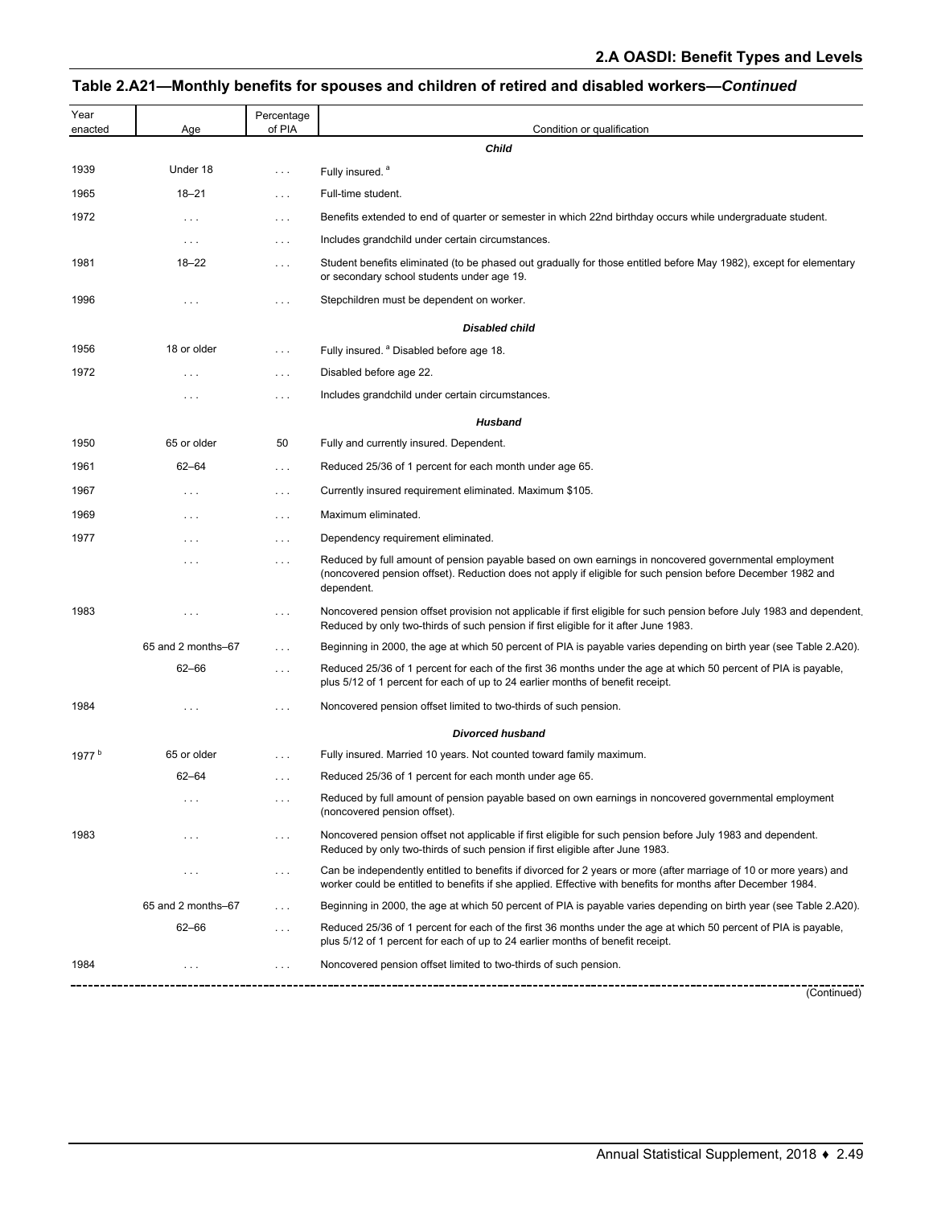# **Table 2.A21—Monthly benefits for spouses and children of retired and disabled workers—***Continued*

| Year<br>enacted   | Age                  | Percentage<br>of PIA | Condition or qualification                                                                                                                                                                                                         |
|-------------------|----------------------|----------------------|------------------------------------------------------------------------------------------------------------------------------------------------------------------------------------------------------------------------------------|
|                   |                      |                      | <b>Child</b>                                                                                                                                                                                                                       |
| 1939              | Under 18             | $\cdots$             | Fully insured. <sup>a</sup>                                                                                                                                                                                                        |
| 1965              | $18 - 21$            | .                    | Full-time student.                                                                                                                                                                                                                 |
| 1972              | $\cdots$             | $\cdots$             | Benefits extended to end of quarter or semester in which 22nd birthday occurs while undergraduate student.                                                                                                                         |
|                   | $\sim$ $\sim$ $\sim$ | $\cdots$             | Includes grandchild under certain circumstances.                                                                                                                                                                                   |
| 1981              | $18 - 22$            | .                    | Student benefits eliminated (to be phased out gradually for those entitled before May 1982), except for elementary<br>or secondary school students under age 19.                                                                   |
| 1996              | $\cdots$             | .                    | Stepchildren must be dependent on worker.                                                                                                                                                                                          |
|                   |                      |                      | <b>Disabled child</b>                                                                                                                                                                                                              |
| 1956              | 18 or older          | $\cdots$             | Fully insured. <sup>a</sup> Disabled before age 18.                                                                                                                                                                                |
| 1972              | $\cdots$             | $\cdots$             | Disabled before age 22.                                                                                                                                                                                                            |
|                   | $\cdots$             | $\cdots$             | Includes grandchild under certain circumstances.                                                                                                                                                                                   |
|                   |                      |                      | <b>Husband</b>                                                                                                                                                                                                                     |
| 1950              | 65 or older          | 50                   | Fully and currently insured. Dependent.                                                                                                                                                                                            |
| 1961              | $62 - 64$            | $\cdots$             | Reduced 25/36 of 1 percent for each month under age 65.                                                                                                                                                                            |
| 1967              | $\sim$ $\sim$ $\sim$ | $\cdots$             | Currently insured requirement eliminated. Maximum \$105.                                                                                                                                                                           |
| 1969              | $\cdots$             | .                    | Maximum eliminated.                                                                                                                                                                                                                |
| 1977              | $\cdots$             | $\cdots$             | Dependency requirement eliminated.                                                                                                                                                                                                 |
|                   | $\cdots$             | .                    | Reduced by full amount of pension payable based on own earnings in noncovered governmental employment<br>(noncovered pension offset). Reduction does not apply if eligible for such pension before December 1982 and<br>dependent. |
| 1983              | $\cdots$             | .                    | Noncovered pension offset provision not applicable if first eligible for such pension before July 1983 and dependent.<br>Reduced by only two-thirds of such pension if first eligible for it after June 1983.                      |
|                   | 65 and 2 months-67   | .                    | Beginning in 2000, the age at which 50 percent of PIA is payable varies depending on birth year (see Table 2.A20).                                                                                                                 |
|                   | 62-66                | $\cdots$             | Reduced 25/36 of 1 percent for each of the first 36 months under the age at which 50 percent of PIA is payable,<br>plus 5/12 of 1 percent for each of up to 24 earlier months of benefit receipt.                                  |
| 1984              |                      | .                    | Noncovered pension offset limited to two-thirds of such pension.                                                                                                                                                                   |
|                   |                      |                      | <b>Divorced husband</b>                                                                                                                                                                                                            |
| 1977 <sup>b</sup> | 65 or older          | .                    | Fully insured. Married 10 years. Not counted toward family maximum.                                                                                                                                                                |
|                   | $62 - 64$            | $\cdots$             | Reduced 25/36 of 1 percent for each month under age 65.                                                                                                                                                                            |
|                   | $\cdots$             | .                    | Reduced by full amount of pension payable based on own earnings in noncovered governmental employment<br>(noncovered pension offset).                                                                                              |
| 1983              | .                    | .                    | Noncovered pension offset not applicable if first eligible for such pension before July 1983 and dependent.<br>Reduced by only two-thirds of such pension if first eligible after June 1983.                                       |
|                   | $\cdots$             | $\cdots$             | Can be independently entitled to benefits if divorced for 2 years or more (after marriage of 10 or more years) and<br>worker could be entitled to benefits if she applied. Effective with benefits for months after December 1984. |
|                   | 65 and 2 months-67   | $\cdots$             | Beginning in 2000, the age at which 50 percent of PIA is payable varies depending on birth year (see Table 2.A20).                                                                                                                 |
|                   | $62 - 66$            | $\cdots$             | Reduced 25/36 of 1 percent for each of the first 36 months under the age at which 50 percent of PIA is payable,<br>plus 5/12 of 1 percent for each of up to 24 earlier months of benefit receipt.                                  |
| 1984              |                      | .                    | Noncovered pension offset limited to two-thirds of such pension.                                                                                                                                                                   |
|                   |                      |                      | (Continued)                                                                                                                                                                                                                        |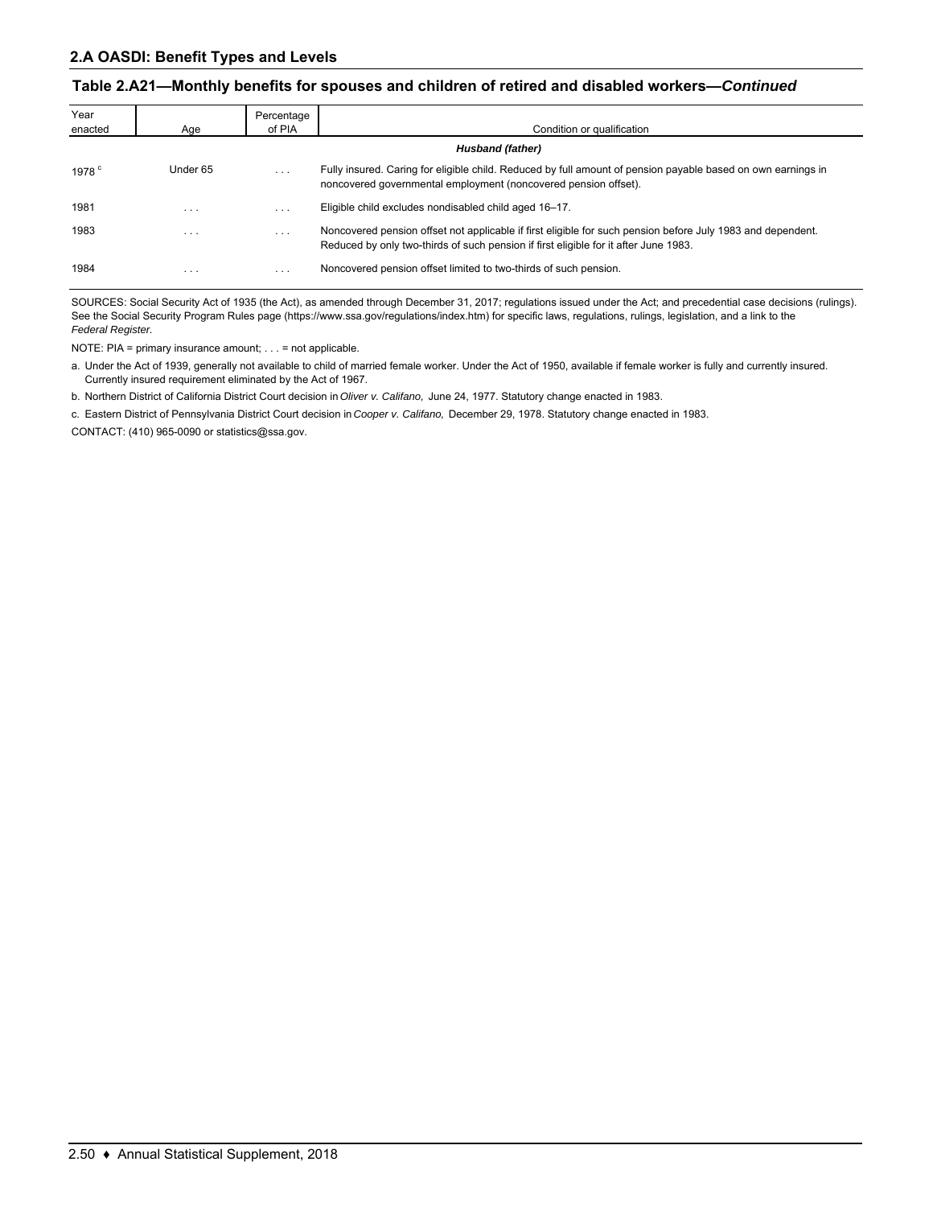#### **Table 2.A21—Monthly benefits for spouses and children of retired and disabled workers—***Continued*

| Year<br>enacted | Age                     | Percentage<br>of PIA    | Condition or qualification                                                                                                                                                                          |
|-----------------|-------------------------|-------------------------|-----------------------------------------------------------------------------------------------------------------------------------------------------------------------------------------------------|
|                 |                         |                         | Husband (father)                                                                                                                                                                                    |
| 1978 $^{\circ}$ | Under 65                | $\cdots$                | Fully insured. Caring for eligible child. Reduced by full amount of pension payable based on own earnings in<br>noncovered governmental employment (noncovered pension offset).                     |
| 1981            | $\cdots$                | $\cdots$                | Eligible child excludes nondisabled child aged 16-17.                                                                                                                                               |
| 1983            | $\cdots$                | $\cdots$                | Noncovered pension offset not applicable if first eligible for such pension before July 1983 and dependent.<br>Reduced by only two-thirds of such pension if first eligible for it after June 1983. |
| 1984            | $\cdot$ $\cdot$ $\cdot$ | $\cdot$ $\cdot$ $\cdot$ | Noncovered pension offset limited to two-thirds of such pension.                                                                                                                                    |

SOURCES: Social Security Act of 1935 (the Act), as amended through December 31, 2017; regulations issued under the Act; and precedential case decisions (rulings). See the Social Security Program Rules page (https://www.ssa.gov/regulations/index.htm) for specific laws, regulations, rulings, legislation, and a link to the *Federal Register.*

NOTE: PIA = primary insurance amount; . . . = not applicable.

a. Under the Act of 1939, generally not available to child of married female worker. Under the Act of 1950, available if female worker is fully and currently insured. Currently insured requirement eliminated by the Act of 1967.

b. Northern District of California District Court decision in *Oliver v. Califano,* June 24, 1977. Statutory change enacted in 1983.

c. Eastern District of Pennsylvania District Court decision in *Cooper v. Califano,* December 29, 1978. Statutory change enacted in 1983.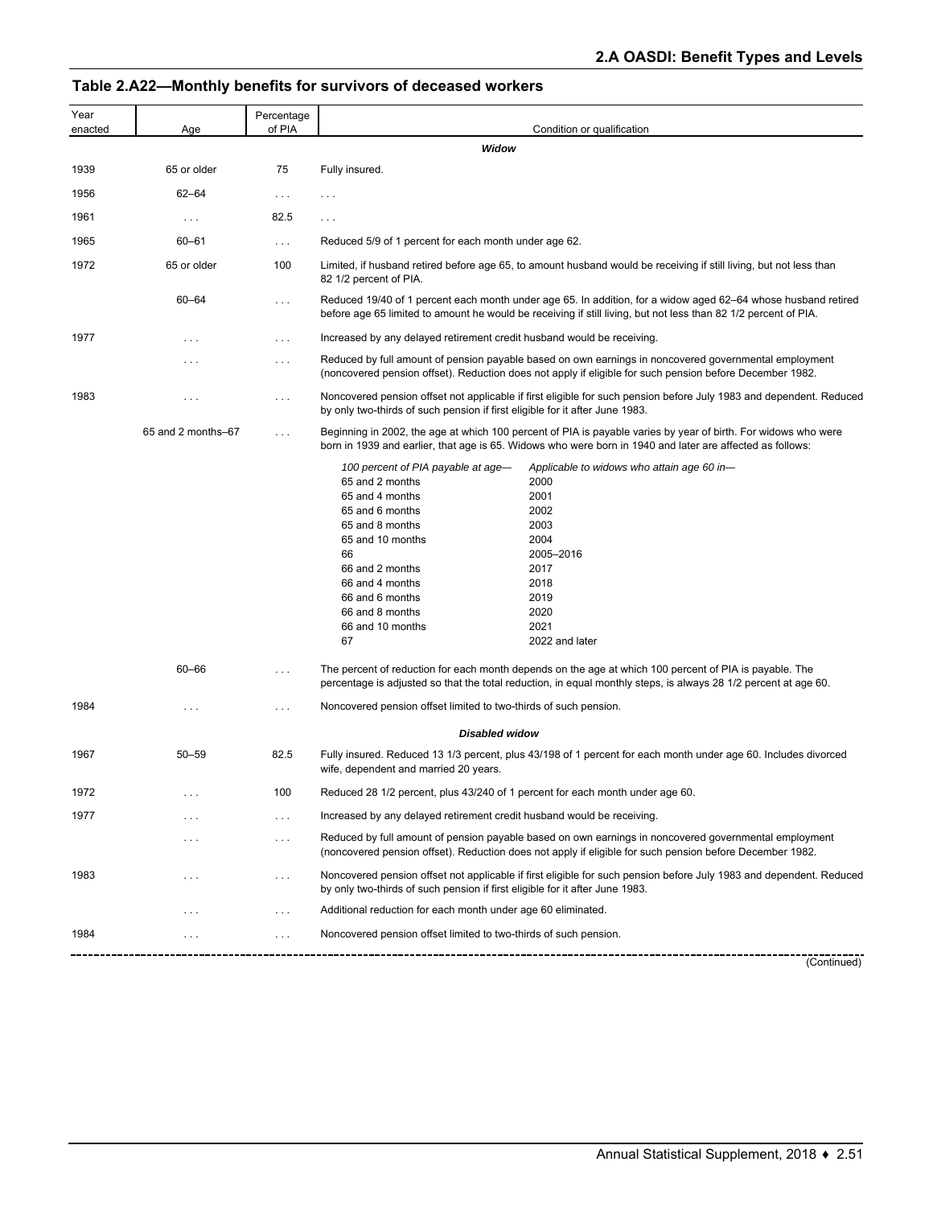# **Table 2.A22—Monthly benefits for survivors of deceased workers**

| Year<br>enacted | Age                | Percentage<br>of PIA | Condition or qualification                                                                                                                                                                                                                                                                                                                                                                                  |
|-----------------|--------------------|----------------------|-------------------------------------------------------------------------------------------------------------------------------------------------------------------------------------------------------------------------------------------------------------------------------------------------------------------------------------------------------------------------------------------------------------|
|                 |                    |                      | Widow                                                                                                                                                                                                                                                                                                                                                                                                       |
| 1939            | 65 or older        | 75                   | Fully insured.                                                                                                                                                                                                                                                                                                                                                                                              |
| 1956            | $62 - 64$          | $\cdots$             | $\cdots$                                                                                                                                                                                                                                                                                                                                                                                                    |
| 1961            | $\ldots$           | 82.5                 | .                                                                                                                                                                                                                                                                                                                                                                                                           |
| 1965            | $60 - 61$          | $\ldots$             | Reduced 5/9 of 1 percent for each month under age 62.                                                                                                                                                                                                                                                                                                                                                       |
| 1972            | 65 or older        | 100                  | Limited, if husband retired before age 65, to amount husband would be receiving if still living, but not less than<br>82 1/2 percent of PIA.                                                                                                                                                                                                                                                                |
|                 | $60 - 64$          | $\cdots$             | Reduced 19/40 of 1 percent each month under age 65. In addition, for a widow aged 62–64 whose husband retired<br>before age 65 limited to amount he would be receiving if still living, but not less than 82 1/2 percent of PIA.                                                                                                                                                                            |
| 1977            | $\cdots$           | $\cdots$             | Increased by any delayed retirement credit husband would be receiving.                                                                                                                                                                                                                                                                                                                                      |
|                 | $\cdots$           | $\cdots$             | Reduced by full amount of pension payable based on own earnings in noncovered governmental employment<br>(noncovered pension offset). Reduction does not apply if eligible for such pension before December 1982.                                                                                                                                                                                           |
| 1983            | $\cdots$           | $\cdots$             | Noncovered pension offset not applicable if first eligible for such pension before July 1983 and dependent. Reduced<br>by only two-thirds of such pension if first eligible for it after June 1983.                                                                                                                                                                                                         |
|                 | 65 and 2 months-67 | $\sim$ $\sim$ $\sim$ | Beginning in 2002, the age at which 100 percent of PIA is payable varies by year of birth. For widows who were<br>born in 1939 and earlier, that age is 65. Widows who were born in 1940 and later are affected as follows:                                                                                                                                                                                 |
|                 |                    |                      | 100 percent of PIA payable at age-<br>Applicable to widows who attain age 60 in-<br>65 and 2 months<br>2000<br>65 and 4 months<br>2001<br>65 and 6 months<br>2002<br>65 and 8 months<br>2003<br>65 and 10 months<br>2004<br>66<br>2005-2016<br>66 and 2 months<br>2017<br>66 and 4 months<br>2018<br>66 and 6 months<br>2019<br>2020<br>66 and 8 months<br>2021<br>66 and 10 months<br>67<br>2022 and later |
|                 | $60 - 66$          | $\sim$ $\sim$ $\sim$ | The percent of reduction for each month depends on the age at which 100 percent of PIA is payable. The<br>percentage is adjusted so that the total reduction, in equal monthly steps, is always 28 1/2 percent at age 60.                                                                                                                                                                                   |
| 1984            | $\cdots$           | $\cdots$             | Noncovered pension offset limited to two-thirds of such pension.                                                                                                                                                                                                                                                                                                                                            |
|                 |                    |                      | <b>Disabled widow</b>                                                                                                                                                                                                                                                                                                                                                                                       |
| 1967            | $50 - 59$          | 82.5                 | Fully insured. Reduced 13 1/3 percent, plus 43/198 of 1 percent for each month under age 60. Includes divorced<br>wife, dependent and married 20 years.                                                                                                                                                                                                                                                     |
| 1972            |                    | 100                  | Reduced 28 1/2 percent, plus 43/240 of 1 percent for each month under age 60.                                                                                                                                                                                                                                                                                                                               |
| 1977            | .                  | $\cdots$             | Increased by any delayed retirement credit husband would be receiving.                                                                                                                                                                                                                                                                                                                                      |
|                 | .                  | $\cdots$             | Reduced by full amount of pension payable based on own earnings in noncovered governmental employment<br>(noncovered pension offset). Reduction does not apply if eligible for such pension before December 1982.                                                                                                                                                                                           |
| 1983            | .                  | $\cdots$             | Noncovered pension offset not applicable if first eligible for such pension before July 1983 and dependent. Reduced<br>by only two-thirds of such pension if first eligible for it after June 1983.                                                                                                                                                                                                         |
|                 | .                  | $\cdots$             | Additional reduction for each month under age 60 eliminated.                                                                                                                                                                                                                                                                                                                                                |
| 1984            |                    | $\cdots$             | Noncovered pension offset limited to two-thirds of such pension.                                                                                                                                                                                                                                                                                                                                            |

(Continued)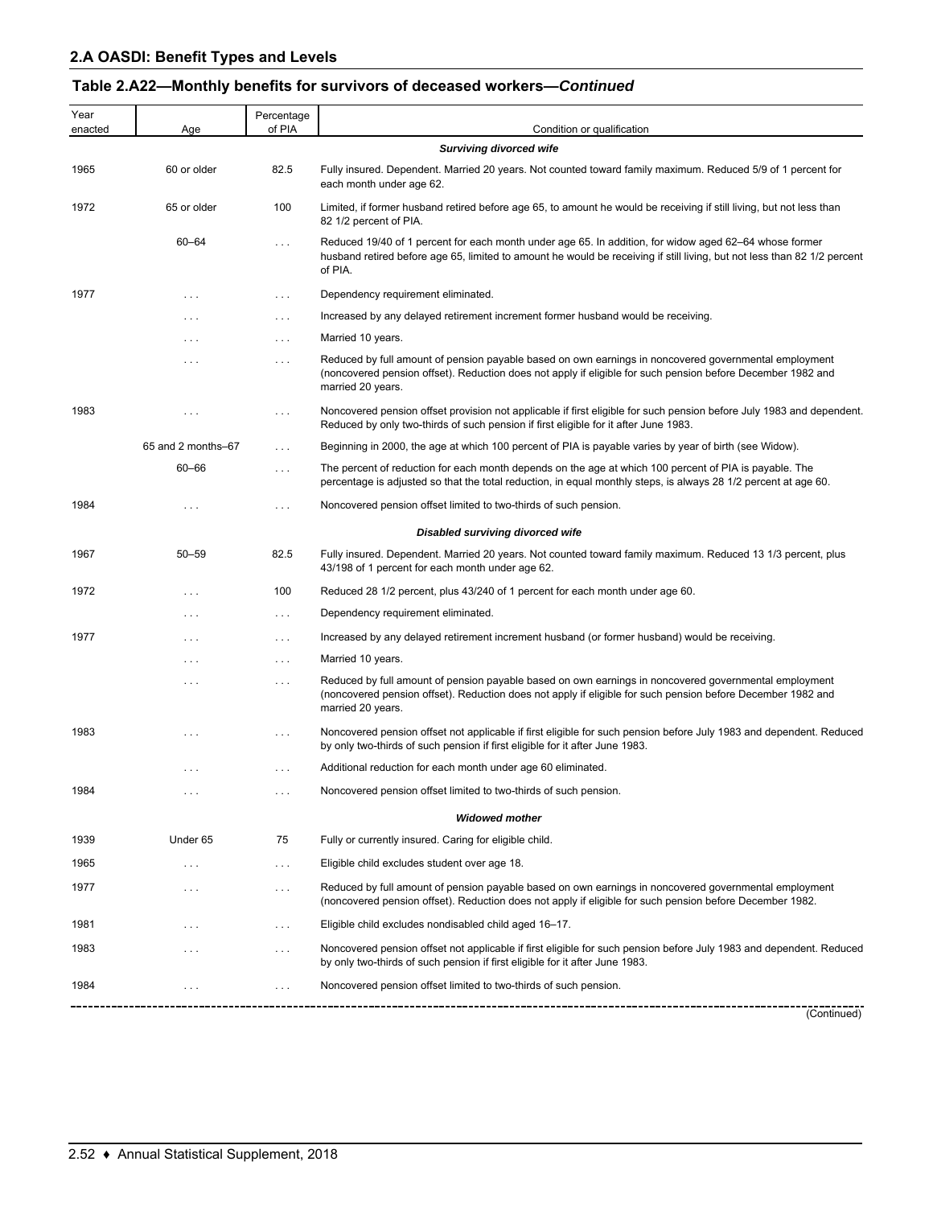| Table 2.A22-Monthly benefits for survivors of deceased workers-Continued |
|--------------------------------------------------------------------------|
|--------------------------------------------------------------------------|

| Year<br>enacted | Age                | Percentage<br>of PIA | Condition or qualification                                                                                                                                                                                                                    |
|-----------------|--------------------|----------------------|-----------------------------------------------------------------------------------------------------------------------------------------------------------------------------------------------------------------------------------------------|
|                 |                    |                      | <b>Surviving divorced wife</b>                                                                                                                                                                                                                |
| 1965            | 60 or older        | 82.5                 | Fully insured. Dependent. Married 20 years. Not counted toward family maximum. Reduced 5/9 of 1 percent for<br>each month under age 62.                                                                                                       |
| 1972            | 65 or older        | 100                  | Limited, if former husband retired before age 65, to amount he would be receiving if still living, but not less than<br>82 1/2 percent of PIA.                                                                                                |
|                 | 60-64              | $\cdots$             | Reduced 19/40 of 1 percent for each month under age 65. In addition, for widow aged 62–64 whose former<br>husband retired before age 65, limited to amount he would be receiving if still living, but not less than 82 1/2 percent<br>of PIA. |
| 1977            | $\cdots$           | $\cdots$             | Dependency requirement eliminated.                                                                                                                                                                                                            |
|                 | $\cdots$           | $\cdots$             | Increased by any delayed retirement increment former husband would be receiving.                                                                                                                                                              |
|                 | $\cdots$           | $\cdots$             | Married 10 years.                                                                                                                                                                                                                             |
|                 | $\cdots$           | $\cdots$             | Reduced by full amount of pension payable based on own earnings in noncovered governmental employment<br>(noncovered pension offset). Reduction does not apply if eligible for such pension before December 1982 and<br>married 20 years.     |
| 1983            | $\cdots$           | $\cdots$             | Noncovered pension offset provision not applicable if first eligible for such pension before July 1983 and dependent.<br>Reduced by only two-thirds of such pension if first eligible for it after June 1983.                                 |
|                 | 65 and 2 months-67 | $\cdots$             | Beginning in 2000, the age at which 100 percent of PIA is payable varies by year of birth (see Widow).                                                                                                                                        |
|                 | $60 - 66$          | $\cdots$             | The percent of reduction for each month depends on the age at which 100 percent of PIA is payable. The<br>percentage is adjusted so that the total reduction, in equal monthly steps, is always 28 1/2 percent at age 60.                     |
| 1984            |                    | $\cdots$             | Noncovered pension offset limited to two-thirds of such pension.                                                                                                                                                                              |
|                 |                    |                      | Disabled surviving divorced wife                                                                                                                                                                                                              |
| 1967            | $50 - 59$          | 82.5                 | Fully insured. Dependent. Married 20 years. Not counted toward family maximum. Reduced 13 1/3 percent, plus<br>43/198 of 1 percent for each month under age 62.                                                                               |
| 1972            | $\cdots$           | 100                  | Reduced 28 1/2 percent, plus 43/240 of 1 percent for each month under age 60.                                                                                                                                                                 |
|                 | $\cdots$           | $\cdots$             | Dependency requirement eliminated.                                                                                                                                                                                                            |
| 1977            | $\cdots$           | $\cdots$             | Increased by any delayed retirement increment husband (or former husband) would be receiving.                                                                                                                                                 |
|                 | $\cdots$           | $\cdots$             | Married 10 years.                                                                                                                                                                                                                             |
|                 | $\cdots$           | $\cdots$             | Reduced by full amount of pension payable based on own earnings in noncovered governmental employment<br>(noncovered pension offset). Reduction does not apply if eligible for such pension before December 1982 and<br>married 20 years.     |
| 1983            | $\cdots$           | $\cdots$             | Noncovered pension offset not applicable if first eligible for such pension before July 1983 and dependent. Reduced<br>by only two-thirds of such pension if first eligible for it after June 1983.                                           |
|                 | $\cdots$           | $\cdots$             | Additional reduction for each month under age 60 eliminated.                                                                                                                                                                                  |
| 1984            | $\cdots$           | $\cdots$             | Noncovered pension offset limited to two-thirds of such pension.                                                                                                                                                                              |
|                 |                    |                      | <b>Widowed mother</b>                                                                                                                                                                                                                         |
| 1939            | Under 65           | 75                   | Fully or currently insured. Caring for eligible child.                                                                                                                                                                                        |
| 1965            | $\cdots$           | $\cdots$             | Eligible child excludes student over age 18.                                                                                                                                                                                                  |
| 1977            | $\cdots$           | $\cdots$             | Reduced by full amount of pension payable based on own earnings in noncovered governmental employment<br>(noncovered pension offset). Reduction does not apply if eligible for such pension before December 1982.                             |
| 1981            | $\cdots$           | $\cdots$             | Eligible child excludes nondisabled child aged 16-17.                                                                                                                                                                                         |
| 1983            | $\cdots$           | $\cdots$             | Noncovered pension offset not applicable if first eligible for such pension before July 1983 and dependent. Reduced<br>by only two-thirds of such pension if first eligible for it after June 1983.                                           |
| 1984            |                    | $\cdots$             | Noncovered pension offset limited to two-thirds of such pension.                                                                                                                                                                              |
|                 |                    |                      | (Continued)                                                                                                                                                                                                                                   |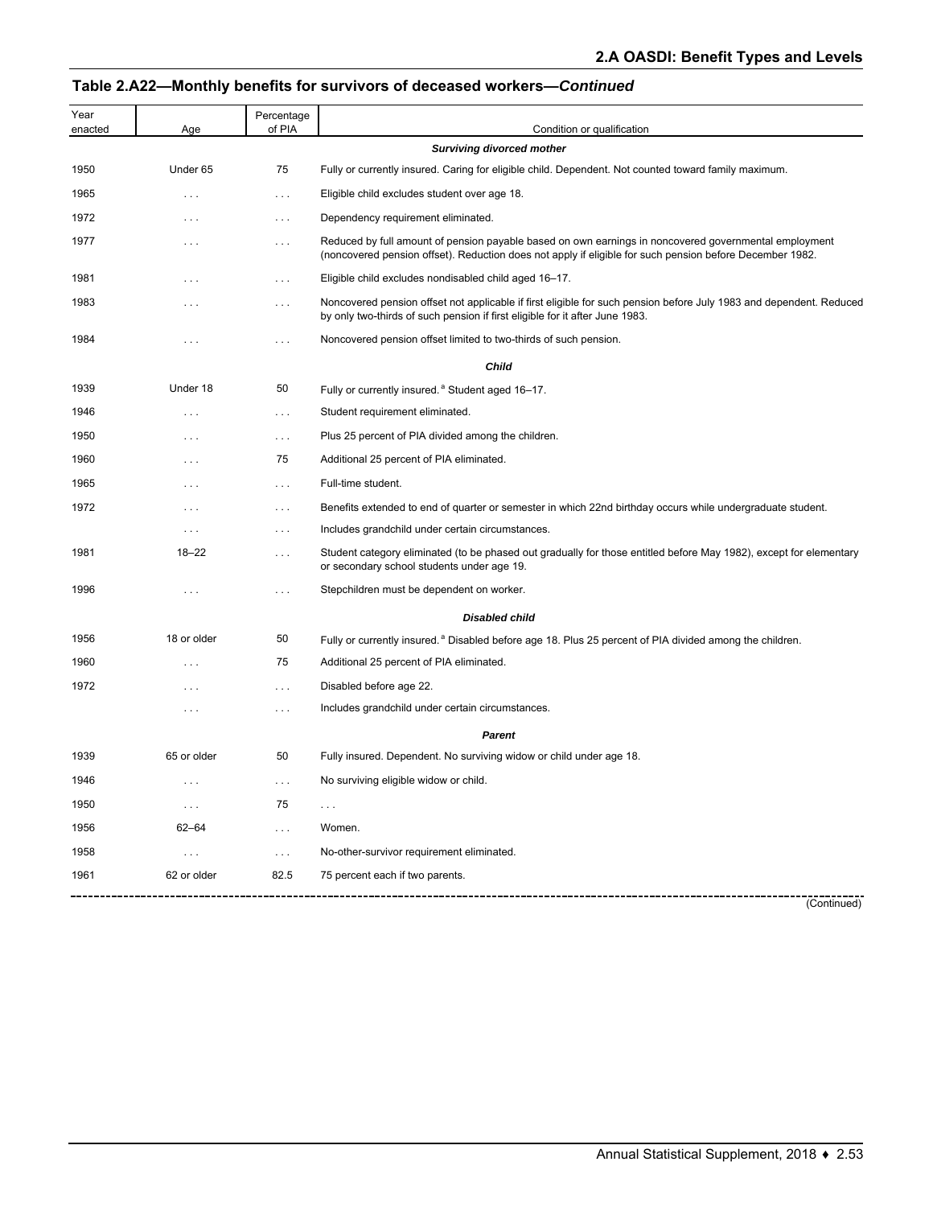# **Table 2.A22—Monthly benefits for survivors of deceased workers—***Continued*

| Year<br>enacted | Age         | Percentage<br>of PIA | Condition or qualification                                                                                                                                                                                        |
|-----------------|-------------|----------------------|-------------------------------------------------------------------------------------------------------------------------------------------------------------------------------------------------------------------|
|                 |             |                      | <b>Surviving divorced mother</b>                                                                                                                                                                                  |
| 1950            | Under 65    | 75                   | Fully or currently insured. Caring for eligible child. Dependent. Not counted toward family maximum.                                                                                                              |
| 1965            | $\cdots$    | $\sim$ $\sim$ $\sim$ | Eligible child excludes student over age 18.                                                                                                                                                                      |
| 1972            | $\cdots$    | $\ldots$ .           | Dependency requirement eliminated.                                                                                                                                                                                |
| 1977            | $\cdots$    | $\sim$ $\sim$ $\sim$ | Reduced by full amount of pension payable based on own earnings in noncovered governmental employment<br>(noncovered pension offset). Reduction does not apply if eligible for such pension before December 1982. |
| 1981            | $\cdots$    | $\cdots$             | Eligible child excludes nondisabled child aged 16-17.                                                                                                                                                             |
| 1983            | $\cdots$    | $\cdots$             | Noncovered pension offset not applicable if first eligible for such pension before July 1983 and dependent. Reduced<br>by only two-thirds of such pension if first eligible for it after June 1983.               |
| 1984            | $\cdots$    | $\cdots$             | Noncovered pension offset limited to two-thirds of such pension.                                                                                                                                                  |
|                 |             |                      | Child                                                                                                                                                                                                             |
| 1939            | Under 18    | 50                   | Fully or currently insured. <sup>ª</sup> Student aged 16-17.                                                                                                                                                      |
| 1946            | $\cdots$    | $\sim$ $\sim$ $\sim$ | Student requirement eliminated.                                                                                                                                                                                   |
| 1950            | $\cdots$    | $\sim$ $\sim$ $\sim$ | Plus 25 percent of PIA divided among the children.                                                                                                                                                                |
| 1960            | $\cdots$    | 75                   | Additional 25 percent of PIA eliminated.                                                                                                                                                                          |
| 1965            | $\cdots$    | $\sim$ $\sim$ $\sim$ | Full-time student.                                                                                                                                                                                                |
| 1972            | $\cdots$    | $\cdots$             | Benefits extended to end of quarter or semester in which 22nd birthday occurs while undergraduate student.                                                                                                        |
|                 | $\cdots$    | $\ldots$ .           | Includes grandchild under certain circumstances.                                                                                                                                                                  |
| 1981            | $18 - 22$   | $\cdots$             | Student category eliminated (to be phased out gradually for those entitled before May 1982), except for elementary<br>or secondary school students under age 19.                                                  |
| 1996            | $\cdots$    | $\cdots$             | Stepchildren must be dependent on worker.                                                                                                                                                                         |
|                 |             |                      | <b>Disabled child</b>                                                                                                                                                                                             |
| 1956            | 18 or older | 50                   | Fully or currently insured. <sup>a</sup> Disabled before age 18. Plus 25 percent of PIA divided among the children.                                                                                               |
| 1960            | $\cdots$    | 75                   | Additional 25 percent of PIA eliminated.                                                                                                                                                                          |
| 1972            | $\cdots$    | $\cdots$             | Disabled before age 22.                                                                                                                                                                                           |
|                 | $\cdots$    | $\sim$ $\sim$ $\sim$ | Includes grandchild under certain circumstances.                                                                                                                                                                  |
|                 |             |                      | Parent                                                                                                                                                                                                            |
| 1939            | 65 or older | 50                   | Fully insured. Dependent. No surviving widow or child under age 18.                                                                                                                                               |
| 1946            | $\cdots$    | $\ldots$ .           | No surviving eligible widow or child.                                                                                                                                                                             |
| 1950            | $\cdots$    | 75                   | .                                                                                                                                                                                                                 |
| 1956            | $62 - 64$   | $\sim$ $\sim$ $\sim$ | Women.                                                                                                                                                                                                            |
| 1958            | $\ldots$ .  | $\ldots$             | No-other-survivor requirement eliminated.                                                                                                                                                                         |
| 1961            | 62 or older | 82.5                 | 75 percent each if two parents.                                                                                                                                                                                   |
|                 |             |                      | (Continued)                                                                                                                                                                                                       |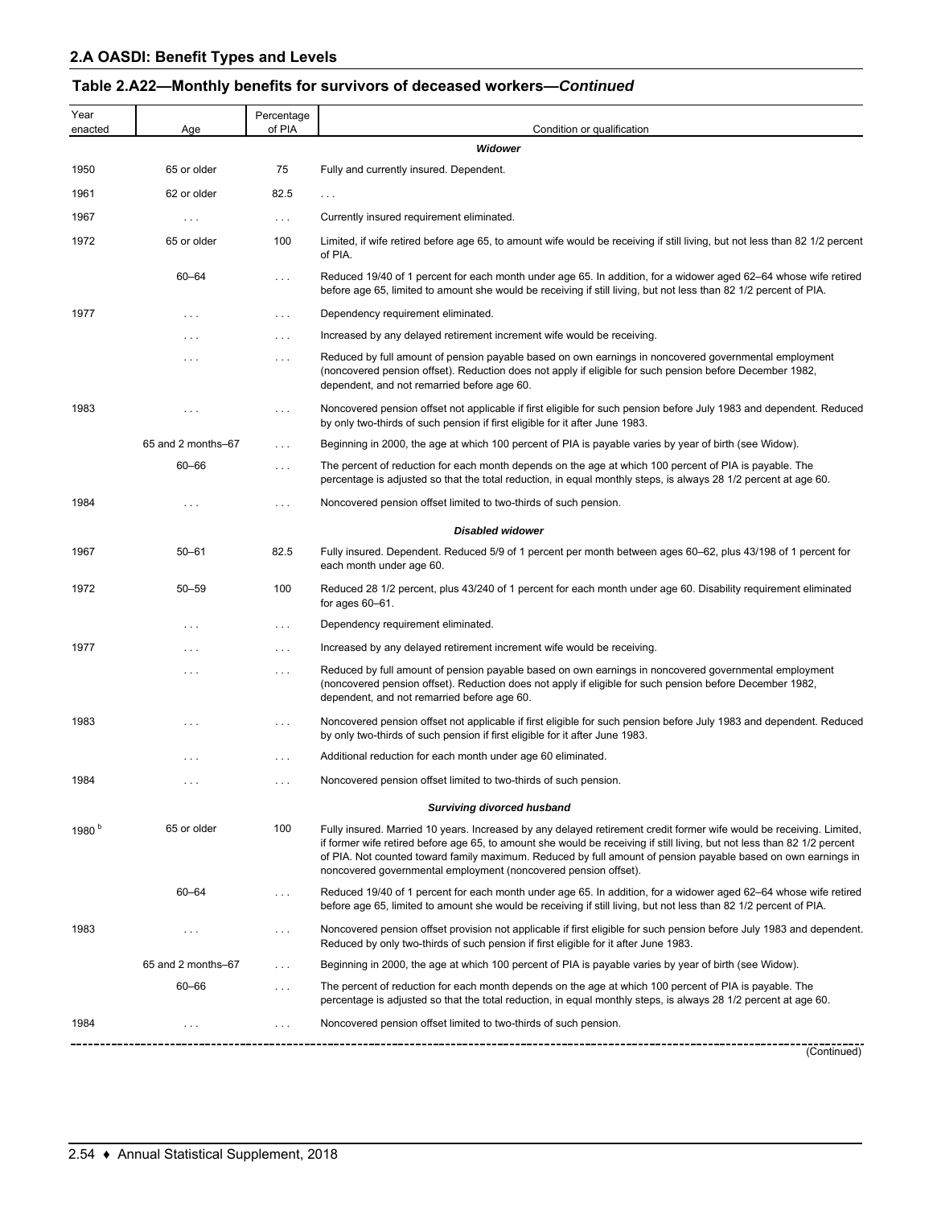# **Table 2.A22—Monthly benefits for survivors of deceased workers—***Continued*

| Year<br>enacted   | Age                | Percentage<br>of PIA | Condition or qualification                                                                                                                                                                                                                                                                                                                                                                                                           |
|-------------------|--------------------|----------------------|--------------------------------------------------------------------------------------------------------------------------------------------------------------------------------------------------------------------------------------------------------------------------------------------------------------------------------------------------------------------------------------------------------------------------------------|
|                   |                    |                      | Widower                                                                                                                                                                                                                                                                                                                                                                                                                              |
| 1950              | 65 or older        | 75                   | Fully and currently insured. Dependent.                                                                                                                                                                                                                                                                                                                                                                                              |
| 1961              | 62 or older        | 82.5                 | $\ldots$ .                                                                                                                                                                                                                                                                                                                                                                                                                           |
| 1967              | $\cdots$           | $\ldots$             | Currently insured requirement eliminated.                                                                                                                                                                                                                                                                                                                                                                                            |
| 1972              | 65 or older        | 100                  | Limited, if wife retired before age 65, to amount wife would be receiving if still living, but not less than 82 1/2 percent<br>of PIA.                                                                                                                                                                                                                                                                                               |
|                   | $60 - 64$          | .                    | Reduced 19/40 of 1 percent for each month under age 65. In addition, for a widower aged 62–64 whose wife retired<br>before age 65, limited to amount she would be receiving if still living, but not less than 82 1/2 percent of PIA.                                                                                                                                                                                                |
| 1977              | $\cdots$           | $\ldots$             | Dependency requirement eliminated.                                                                                                                                                                                                                                                                                                                                                                                                   |
|                   | $\cdots$           | $\sim$ $\sim$ $\sim$ | Increased by any delayed retirement increment wife would be receiving.                                                                                                                                                                                                                                                                                                                                                               |
|                   | $\cdots$           | $\cdots$             | Reduced by full amount of pension payable based on own earnings in noncovered governmental employment<br>(noncovered pension offset). Reduction does not apply if eligible for such pension before December 1982,<br>dependent, and not remarried before age 60.                                                                                                                                                                     |
| 1983              | $\cdots$           | $\ldots$             | Noncovered pension offset not applicable if first eligible for such pension before July 1983 and dependent. Reduced<br>by only two-thirds of such pension if first eligible for it after June 1983.                                                                                                                                                                                                                                  |
|                   | 65 and 2 months-67 | $\sim$ $\sim$ $\sim$ | Beginning in 2000, the age at which 100 percent of PIA is payable varies by year of birth (see Widow).                                                                                                                                                                                                                                                                                                                               |
|                   | $60 - 66$          | .                    | The percent of reduction for each month depends on the age at which 100 percent of PIA is payable. The<br>percentage is adjusted so that the total reduction, in equal monthly steps, is always 28 1/2 percent at age 60.                                                                                                                                                                                                            |
| 1984              | $\cdots$           | .                    | Noncovered pension offset limited to two-thirds of such pension.                                                                                                                                                                                                                                                                                                                                                                     |
|                   |                    |                      | <b>Disabled widower</b>                                                                                                                                                                                                                                                                                                                                                                                                              |
| 1967              | $50 - 61$          | 82.5                 | Fully insured. Dependent. Reduced 5/9 of 1 percent per month between ages 60–62, plus 43/198 of 1 percent for<br>each month under age 60.                                                                                                                                                                                                                                                                                            |
| 1972              | $50 - 59$          | 100                  | Reduced 28 1/2 percent, plus 43/240 of 1 percent for each month under age 60. Disability requirement eliminated<br>for ages $60-61$ .                                                                                                                                                                                                                                                                                                |
|                   | $\cdots$           | $\ldots$             | Dependency requirement eliminated.                                                                                                                                                                                                                                                                                                                                                                                                   |
| 1977              | $\cdots$           | $\ldots$             | Increased by any delayed retirement increment wife would be receiving.                                                                                                                                                                                                                                                                                                                                                               |
|                   | $\cdots$           | $\ldots$             | Reduced by full amount of pension payable based on own earnings in noncovered governmental employment<br>(noncovered pension offset). Reduction does not apply if eligible for such pension before December 1982,<br>dependent, and not remarried before age 60.                                                                                                                                                                     |
| 1983              | .                  | .                    | Noncovered pension offset not applicable if first eligible for such pension before July 1983 and dependent. Reduced<br>by only two-thirds of such pension if first eligible for it after June 1983.                                                                                                                                                                                                                                  |
|                   | .                  | $\cdots$             | Additional reduction for each month under age 60 eliminated.                                                                                                                                                                                                                                                                                                                                                                         |
| 1984              | $\cdots$           | $\cdots$             | Noncovered pension offset limited to two-thirds of such pension.                                                                                                                                                                                                                                                                                                                                                                     |
|                   |                    |                      | <b>Surviving divorced husband</b>                                                                                                                                                                                                                                                                                                                                                                                                    |
| 1980 <sup>b</sup> | 65 or older        | 100                  | Fully insured. Married 10 years. Increased by any delayed retirement credit former wife would be receiving. Limited,<br>if former wife retired before age 65, to amount she would be receiving if still living, but not less than 82 1/2 percent<br>of PIA. Not counted toward family maximum. Reduced by full amount of pension payable based on own earnings in<br>noncovered governmental employment (noncovered pension offset). |
|                   | $60 - 64$          | .                    | Reduced 19/40 of 1 percent for each month under age 65. In addition, for a widower aged 62–64 whose wife retired<br>before age 65, limited to amount she would be receiving if still living, but not less than 82 1/2 percent of PIA.                                                                                                                                                                                                |
| 1983              | $\cdots$           | .                    | Noncovered pension offset provision not applicable if first eligible for such pension before July 1983 and dependent.<br>Reduced by only two-thirds of such pension if first eligible for it after June 1983.                                                                                                                                                                                                                        |
|                   | 65 and 2 months-67 | .                    | Beginning in 2000, the age at which 100 percent of PIA is payable varies by year of birth (see Widow).                                                                                                                                                                                                                                                                                                                               |
|                   | $60 - 66$          | $\cdots$             | The percent of reduction for each month depends on the age at which 100 percent of PIA is payable. The<br>percentage is adjusted so that the total reduction, in equal monthly steps, is always 28 1/2 percent at age 60.                                                                                                                                                                                                            |
| 1984              | $\cdots$           | .                    | Noncovered pension offset limited to two-thirds of such pension.                                                                                                                                                                                                                                                                                                                                                                     |
|                   |                    |                      | (Continued)                                                                                                                                                                                                                                                                                                                                                                                                                          |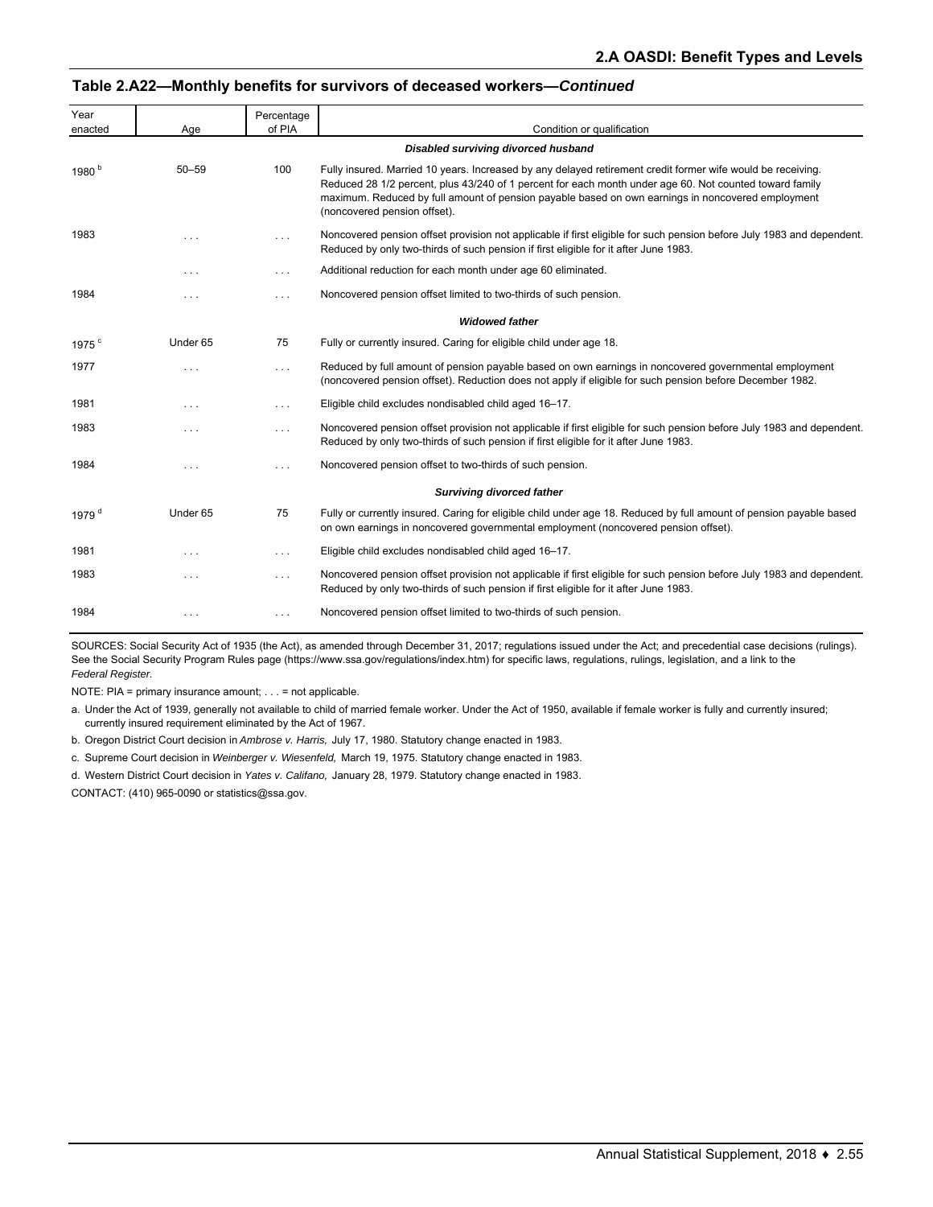#### **Table 2.A22—Monthly benefits for survivors of deceased workers—***Continued*

| Year              |                         | Percentage |                                                                                                                                                                                                                                                                                                                                                             |
|-------------------|-------------------------|------------|-------------------------------------------------------------------------------------------------------------------------------------------------------------------------------------------------------------------------------------------------------------------------------------------------------------------------------------------------------------|
| enacted           | Age                     | of PIA     | Condition or qualification                                                                                                                                                                                                                                                                                                                                  |
|                   |                         |            | Disabled surviving divorced husband                                                                                                                                                                                                                                                                                                                         |
| 1980 <sup>b</sup> | $50 - 59$               | 100        | Fully insured. Married 10 years. Increased by any delayed retirement credit former wife would be receiving.<br>Reduced 28 1/2 percent, plus 43/240 of 1 percent for each month under age 60. Not counted toward family<br>maximum. Reduced by full amount of pension payable based on own earnings in noncovered employment<br>(noncovered pension offset). |
| 1983              | $\cdots$                | .          | Noncovered pension offset provision not applicable if first eligible for such pension before July 1983 and dependent.<br>Reduced by only two-thirds of such pension if first eligible for it after June 1983.                                                                                                                                               |
|                   | $\cdots$                | $\sim$ .   | Additional reduction for each month under age 60 eliminated.                                                                                                                                                                                                                                                                                                |
| 1984              | $\cdots$                | $\cdots$   | Noncovered pension offset limited to two-thirds of such pension.                                                                                                                                                                                                                                                                                            |
|                   |                         |            | <b>Widowed father</b>                                                                                                                                                                                                                                                                                                                                       |
| 1975 <sup>c</sup> | Under 65                | 75         | Fully or currently insured. Caring for eligible child under age 18.                                                                                                                                                                                                                                                                                         |
| 1977              | $\cdots$                | $\cdots$   | Reduced by full amount of pension payable based on own earnings in noncovered governmental employment<br>(noncovered pension offset). Reduction does not apply if eligible for such pension before December 1982.                                                                                                                                           |
| 1981              | $\cdots$                | $\sim$ .   | Eligible child excludes nondisabled child aged 16-17.                                                                                                                                                                                                                                                                                                       |
| 1983              | $\cdots$                | $\sim$ .   | Noncovered pension offset provision not applicable if first eligible for such pension before July 1983 and dependent.<br>Reduced by only two-thirds of such pension if first eligible for it after June 1983.                                                                                                                                               |
| 1984              | $\cdots$                | $\cdots$   | Noncovered pension offset to two-thirds of such pension.                                                                                                                                                                                                                                                                                                    |
|                   |                         |            | <b>Surviving divorced father</b>                                                                                                                                                                                                                                                                                                                            |
| 1979 <sup>d</sup> | Under 65                | 75         | Fully or currently insured. Caring for eligible child under age 18. Reduced by full amount of pension payable based<br>on own earnings in noncovered governmental employment (noncovered pension offset).                                                                                                                                                   |
| 1981              | $\cdots$                | $\cdots$   | Eligible child excludes nondisabled child aged 16-17.                                                                                                                                                                                                                                                                                                       |
| 1983              | $\cdot$ $\cdot$ $\cdot$ | $\cdots$   | Noncovered pension offset provision not applicable if first eligible for such pension before July 1983 and dependent.<br>Reduced by only two-thirds of such pension if first eligible for it after June 1983.                                                                                                                                               |
| 1984              | $\cdots$                | $\cdots$   | Noncovered pension offset limited to two-thirds of such pension.                                                                                                                                                                                                                                                                                            |

SOURCES: Social Security Act of 1935 (the Act), as amended through December 31, 2017; regulations issued under the Act; and precedential case decisions (rulings). See the Social Security Program Rules page (https://www.ssa.gov/regulations/index.htm) for specific laws, regulations, rulings, legislation, and a link to the *Federal Register.*

NOTE: PIA = primary insurance amount; . . . = not applicable.

a. Under the Act of 1939, generally not available to child of married female worker. Under the Act of 1950, available if female worker is fully and currently insured; currently insured requirement eliminated by the Act of 1967.

b. Oregon District Court decision in *Ambrose v. Harris,* July 17, 1980. Statutory change enacted in 1983.

c. Supreme Court decision in *Weinberger v. Wiesenfeld,* March 19, 1975. Statutory change enacted in 1983.

d. Western District Court decision in *Yates v. Califano,* January 28, 1979. Statutory change enacted in 1983.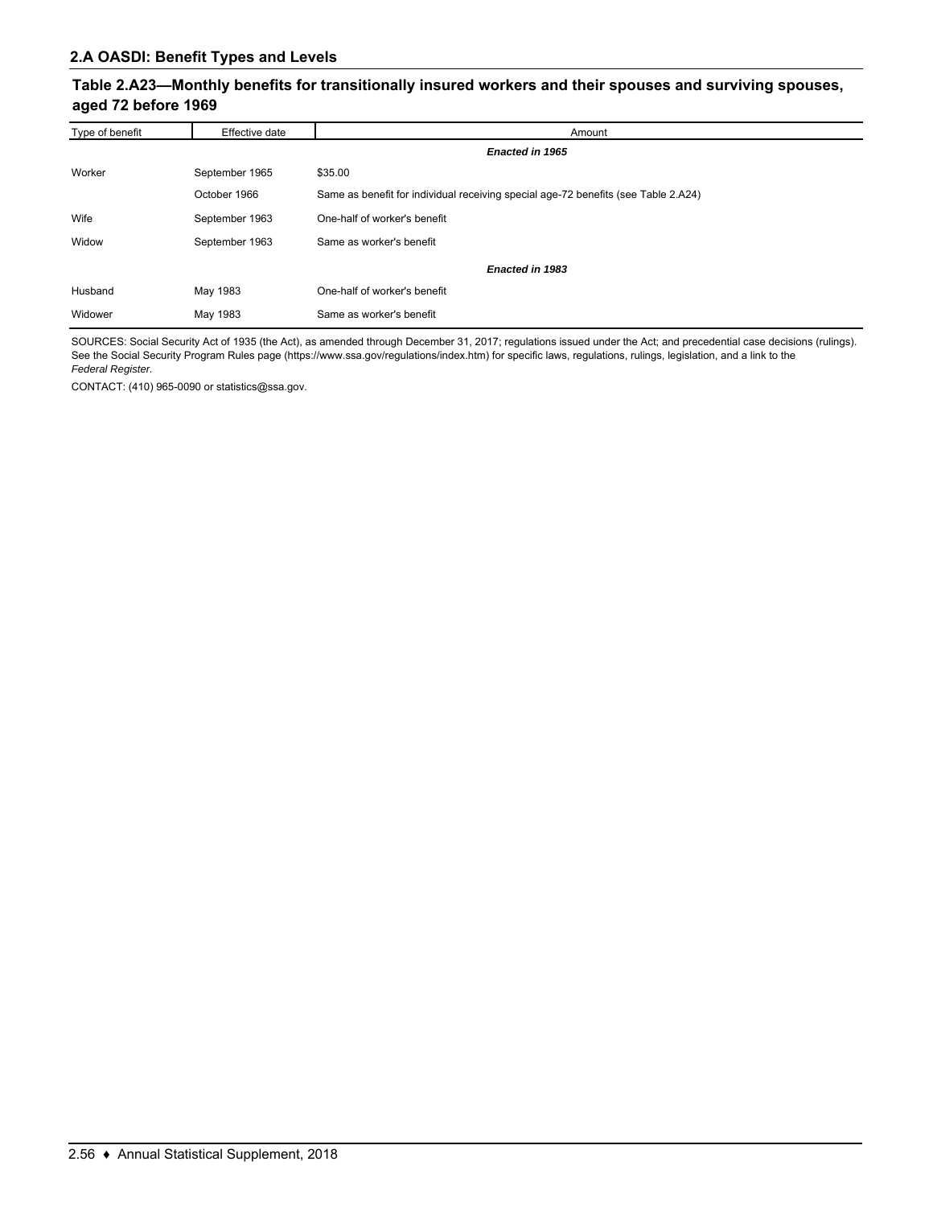### **Table 2.A23—Monthly benefits for transitionally insured workers and their spouses and surviving spouses, aged 72 before 1969**

| Type of benefit | Effective date | Amount                                                                             |
|-----------------|----------------|------------------------------------------------------------------------------------|
|                 |                | Enacted in 1965                                                                    |
| Worker          | September 1965 | \$35.00                                                                            |
|                 | October 1966   | Same as benefit for individual receiving special age-72 benefits (see Table 2.A24) |
| Wife            | September 1963 | One-half of worker's benefit                                                       |
| Widow           | September 1963 | Same as worker's benefit                                                           |
|                 |                | Enacted in 1983                                                                    |
| Husband         | May 1983       | One-half of worker's benefit                                                       |
| Widower         | May 1983       | Same as worker's benefit                                                           |

SOURCES: Social Security Act of 1935 (the Act), as amended through December 31, 2017; regulations issued under the Act; and precedential case decisions (rulings). See the Social Security Program Rules page (https://www.ssa.gov/regulations/index.htm) for specific laws, regulations, rulings, legislation, and a link to the *Federal Register.*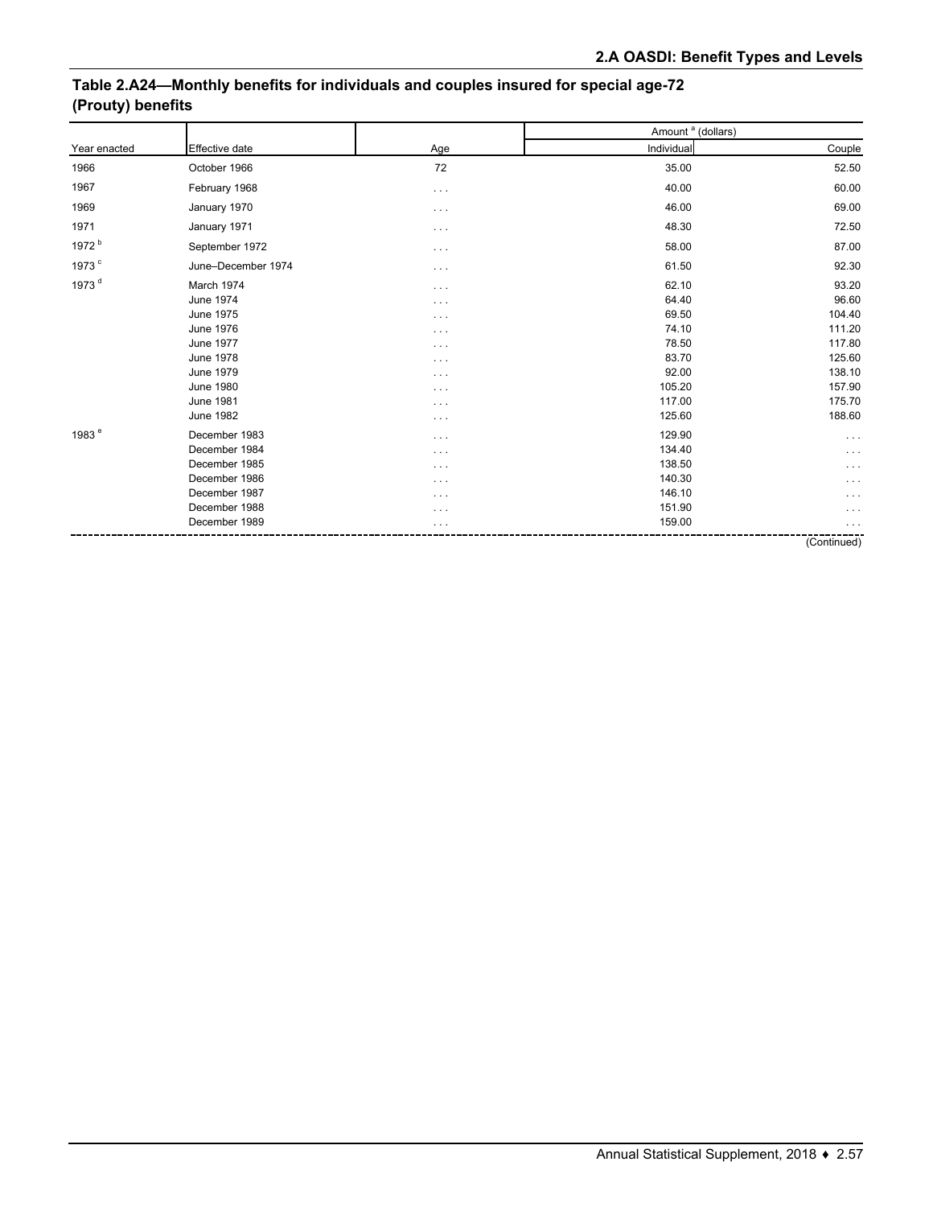# **Table 2.A24—Monthly benefits for individuals and couples insured for special age-72 (Prouty) benefits**

|                   |                       |                      | Amount <sup>a</sup> (dollars) |             |
|-------------------|-----------------------|----------------------|-------------------------------|-------------|
| Year enacted      | <b>Effective date</b> | Age                  | Individual                    | Couple      |
| 1966              | October 1966          | 72                   | 35.00                         | 52.50       |
| 1967              | February 1968         | $\sim$ $\sim$ $\sim$ | 40.00                         | 60.00       |
| 1969              | January 1970          | $\cdots$             | 46.00                         | 69.00       |
| 1971              | January 1971          | $\cdots$             | 48.30                         | 72.50       |
| 1972 <sup>b</sup> | September 1972        | $\sim$ $\sim$ $\sim$ | 58.00                         | 87.00       |
| 1973 <sup>c</sup> | June-December 1974    | $\sim$ $\sim$ $\sim$ | 61.50                         | 92.30       |
| 1973 <sup>d</sup> | March 1974            | $\sim$ $\sim$ $\sim$ | 62.10                         | 93.20       |
|                   | <b>June 1974</b>      | $\sim$ $\sim$ $\sim$ | 64.40                         | 96.60       |
|                   | <b>June 1975</b>      | $\cdots$             | 69.50                         | 104.40      |
|                   | <b>June 1976</b>      | $\sim$ $\sim$ $\sim$ | 74.10                         | 111.20      |
|                   | <b>June 1977</b>      | $\cdots$             | 78.50                         | 117.80      |
|                   | <b>June 1978</b>      | $\cdots$             | 83.70                         | 125.60      |
|                   | <b>June 1979</b>      | $\cdots$             | 92.00                         | 138.10      |
|                   | <b>June 1980</b>      | $\cdots$             | 105.20                        | 157.90      |
|                   | <b>June 1981</b>      | $\cdots$             | 117.00                        | 175.70      |
|                   | <b>June 1982</b>      | $\cdots$             | 125.60                        | 188.60      |
| 1983 <sup>e</sup> | December 1983         | $\sim$ $\sim$ $\sim$ | 129.90                        | $\cdots$    |
|                   | December 1984         | $\sim$ $\sim$ $\sim$ | 134.40                        | $\cdots$    |
|                   | December 1985         | $\cdots$             | 138.50                        | .           |
|                   | December 1986         | $\cdots$             | 140.30                        | .           |
|                   | December 1987         | $\cdots$             | 146.10                        | .           |
|                   | December 1988         | $\sim$ $\sim$ $\sim$ | 151.90                        | $\cdots$    |
|                   | December 1989         |                      | 159.00                        |             |
|                   |                       |                      |                               | (Continued) |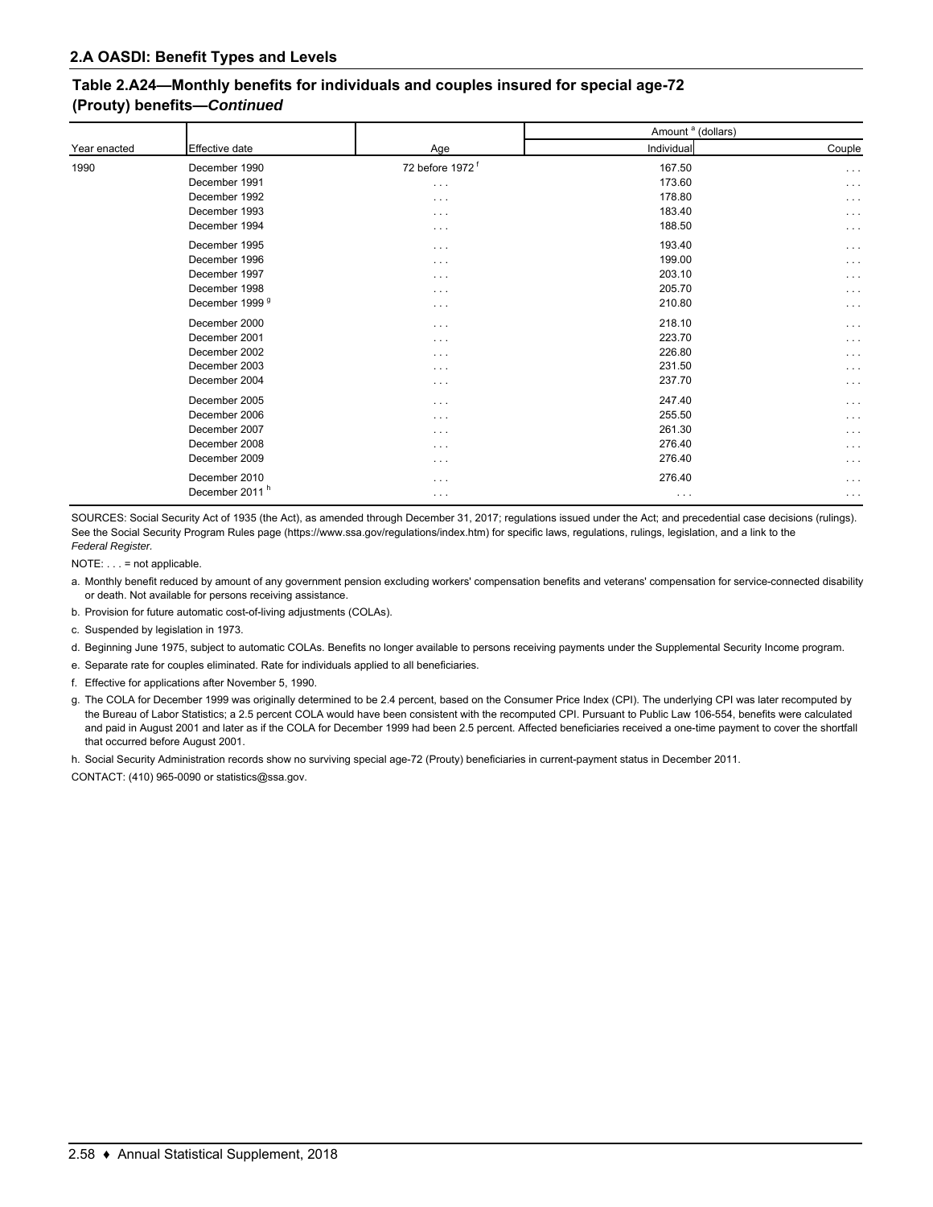### **Table 2.A24—Monthly benefits for individuals and couples insured for special age-72 (Prouty) benefits—***Continued*

|              |                            |                             | Amount <sup>a</sup> (dollars) |                      |  |
|--------------|----------------------------|-----------------------------|-------------------------------|----------------------|--|
| Year enacted | Effective date             | Age                         | Individual                    | Couple               |  |
| 1990         | December 1990              | 72 before 1972 <sup>f</sup> | 167.50                        | $\sim$ $\sim$ $\sim$ |  |
|              | December 1991              | $\sim$ $\sim$ $\sim$        | 173.60                        | $\cdots$             |  |
|              | December 1992              | $\cdots$                    | 178.80                        | $\cdots$             |  |
|              | December 1993              | $\cdots$                    | 183.40                        | $\cdots$             |  |
|              | December 1994              | $\cdots$                    | 188.50                        | $\cdots$             |  |
|              | December 1995              | $\cdots$                    | 193.40                        | $\cdots$             |  |
|              | December 1996              | $\cdots$                    | 199.00                        | $\cdots$             |  |
|              | December 1997              | $\cdots$                    | 203.10                        | $\cdots$             |  |
|              | December 1998              | $\cdots$                    | 205.70                        | $\cdots$             |  |
|              | December 1999 <sup>9</sup> | $\cdots$                    | 210.80                        | $\cdots$             |  |
|              | December 2000              | $\cdots$                    | 218.10                        | $\cdots$             |  |
|              | December 2001              | $\cdots$                    | 223.70                        | $\cdots$             |  |
|              | December 2002              | $\cdots$                    | 226.80                        | $\cdots$             |  |
|              | December 2003              | $\cdots$                    | 231.50                        | $\cdots$             |  |
|              | December 2004              | $\cdots$                    | 237.70                        | $\cdots$             |  |
|              | December 2005              | $\cdots$                    | 247.40                        | $\cdots$             |  |
|              | December 2006              | $\cdots$                    | 255.50                        | $\cdots$             |  |
|              | December 2007              | $\cdots$                    | 261.30                        | $\cdots$             |  |
|              | December 2008              | $\cdots$                    | 276.40                        | $\cdots$             |  |
|              | December 2009              | $\cdots$                    | 276.40                        | $\cdots$             |  |
|              | December 2010              | $\cdots$                    | 276.40                        | $\cdots$             |  |
|              | December 2011 <sup>h</sup> | $\cdots$                    | $\cdots$                      | $\cdots$             |  |

SOURCES: Social Security Act of 1935 (the Act), as amended through December 31, 2017; regulations issued under the Act; and precedential case decisions (rulings). See the Social Security Program Rules page (https://www.ssa.gov/regulations/index.htm) for specific laws, regulations, rulings, legislation, and a link to the *Federal Register.*

NOTE: . . . = not applicable.

- a. Monthly benefit reduced by amount of any government pension excluding workers' compensation benefits and veterans' compensation for service-connected disability or death. Not available for persons receiving assistance.
- b. Provision for future automatic cost-of-living adjustments (COLAs).
- c. Suspended by legislation in 1973.
- d. Beginning June 1975, subject to automatic COLAs. Benefits no longer available to persons receiving payments under the Supplemental Security Income program.
- e. Separate rate for couples eliminated. Rate for individuals applied to all beneficiaries.
- f. Effective for applications after November 5, 1990.
- g. The COLA for December 1999 was originally determined to be 2.4 percent, based on the Consumer Price Index (CPI). The underlying CPI was later recomputed by the Bureau of Labor Statistics; a 2.5 percent COLA would have been consistent with the recomputed CPI. Pursuant to Public Law 106-554, benefits were calculated and paid in August 2001 and later as if the COLA for December 1999 had been 2.5 percent. Affected beneficiaries received a one-time payment to cover the shortfall that occurred before August 2001.
- h. Social Security Administration records show no surviving special age-72 (Prouty) beneficiaries in current-payment status in December 2011.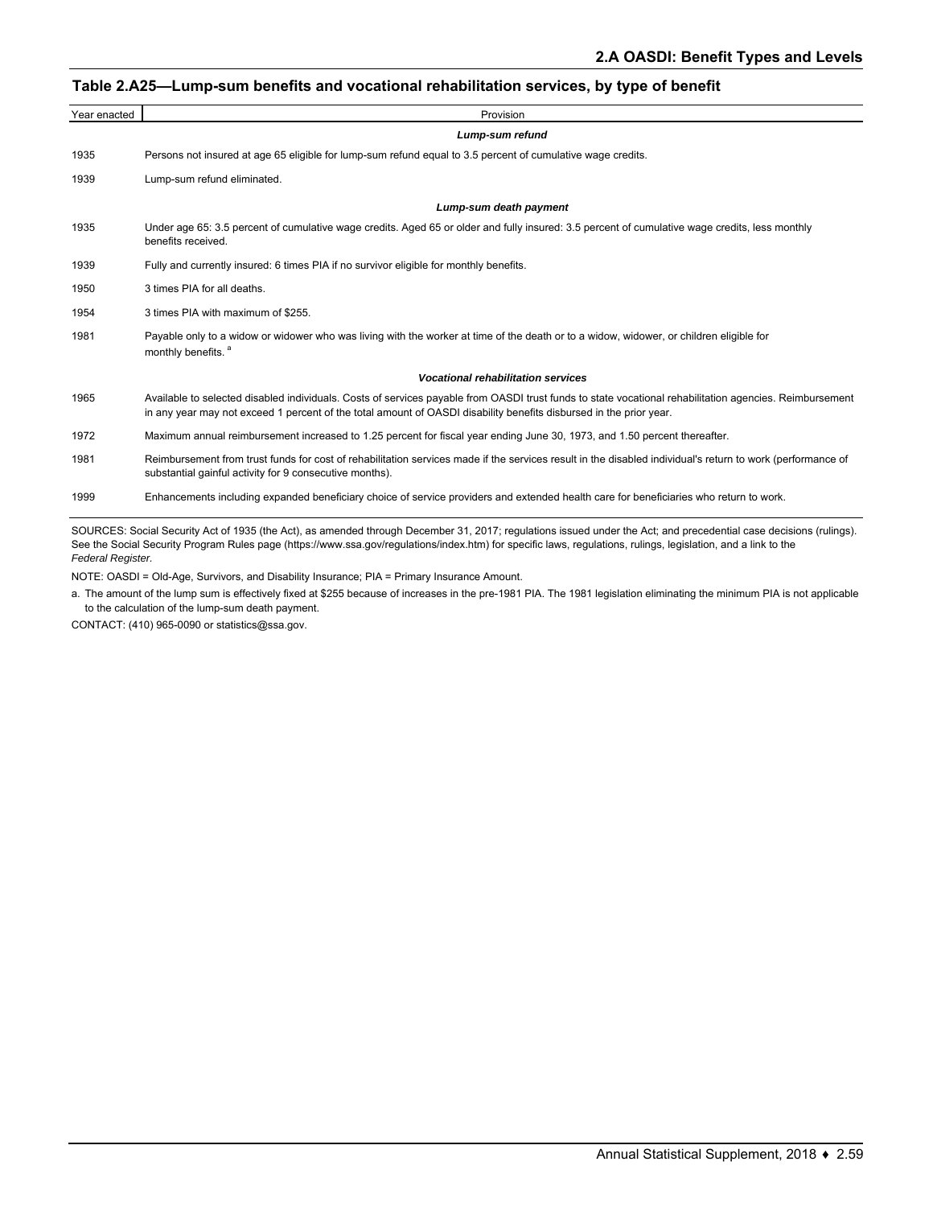#### **Table 2.A25—Lump-sum benefits and vocational rehabilitation services, by type of benefit**

| Year enacted | Provision                                                                                                                                                                                                                                                                     |
|--------------|-------------------------------------------------------------------------------------------------------------------------------------------------------------------------------------------------------------------------------------------------------------------------------|
|              | Lump-sum refund                                                                                                                                                                                                                                                               |
| 1935         | Persons not insured at age 65 eligible for lump-sum refund equal to 3.5 percent of cumulative wage credits.                                                                                                                                                                   |
| 1939         | Lump-sum refund eliminated.                                                                                                                                                                                                                                                   |
|              | Lump-sum death payment                                                                                                                                                                                                                                                        |
| 1935         | Under age 65: 3.5 percent of cumulative wage credits. Aged 65 or older and fully insured: 3.5 percent of cumulative wage credits, less monthly<br>benefits received.                                                                                                          |
| 1939         | Fully and currently insured: 6 times PIA if no survivor eligible for monthly benefits.                                                                                                                                                                                        |
| 1950         | 3 times PIA for all deaths.                                                                                                                                                                                                                                                   |
| 1954         | 3 times PIA with maximum of \$255.                                                                                                                                                                                                                                            |
| 1981         | Payable only to a widow or widower who was living with the worker at time of the death or to a widow, widower, or children eligible for<br>monthly benefits. <sup>a</sup>                                                                                                     |
|              | <b>Vocational rehabilitation services</b>                                                                                                                                                                                                                                     |
| 1965         | Available to selected disabled individuals. Costs of services payable from OASDI trust funds to state vocational rehabilitation agencies. Reimbursement<br>in any year may not exceed 1 percent of the total amount of OASDI disability benefits disbursed in the prior year. |
| 1972         | Maximum annual reimbursement increased to 1.25 percent for fiscal year ending June 30, 1973, and 1.50 percent thereafter.                                                                                                                                                     |
| 1981         | Reimbursement from trust funds for cost of rehabilitation services made if the services result in the disabled individual's return to work (performance of<br>substantial gainful activity for 9 consecutive months).                                                         |
| 1999         | Enhancements including expanded beneficiary choice of service providers and extended health care for beneficiaries who return to work.                                                                                                                                        |

SOURCES: Social Security Act of 1935 (the Act), as amended through December 31, 2017; regulations issued under the Act; and precedential case decisions (rulings). See the Social Security Program Rules page (https://www.ssa.gov/regulations/index.htm) for specific laws, regulations, rulings, legislation, and a link to the *Federal Register.*

NOTE: OASDI = Old-Age, Survivors, and Disability Insurance; PIA = Primary Insurance Amount.

a. The amount of the lump sum is effectively fixed at \$255 because of increases in the pre-1981 PIA. The 1981 legislation eliminating the minimum PIA is not applicable to the calculation of the lump-sum death payment.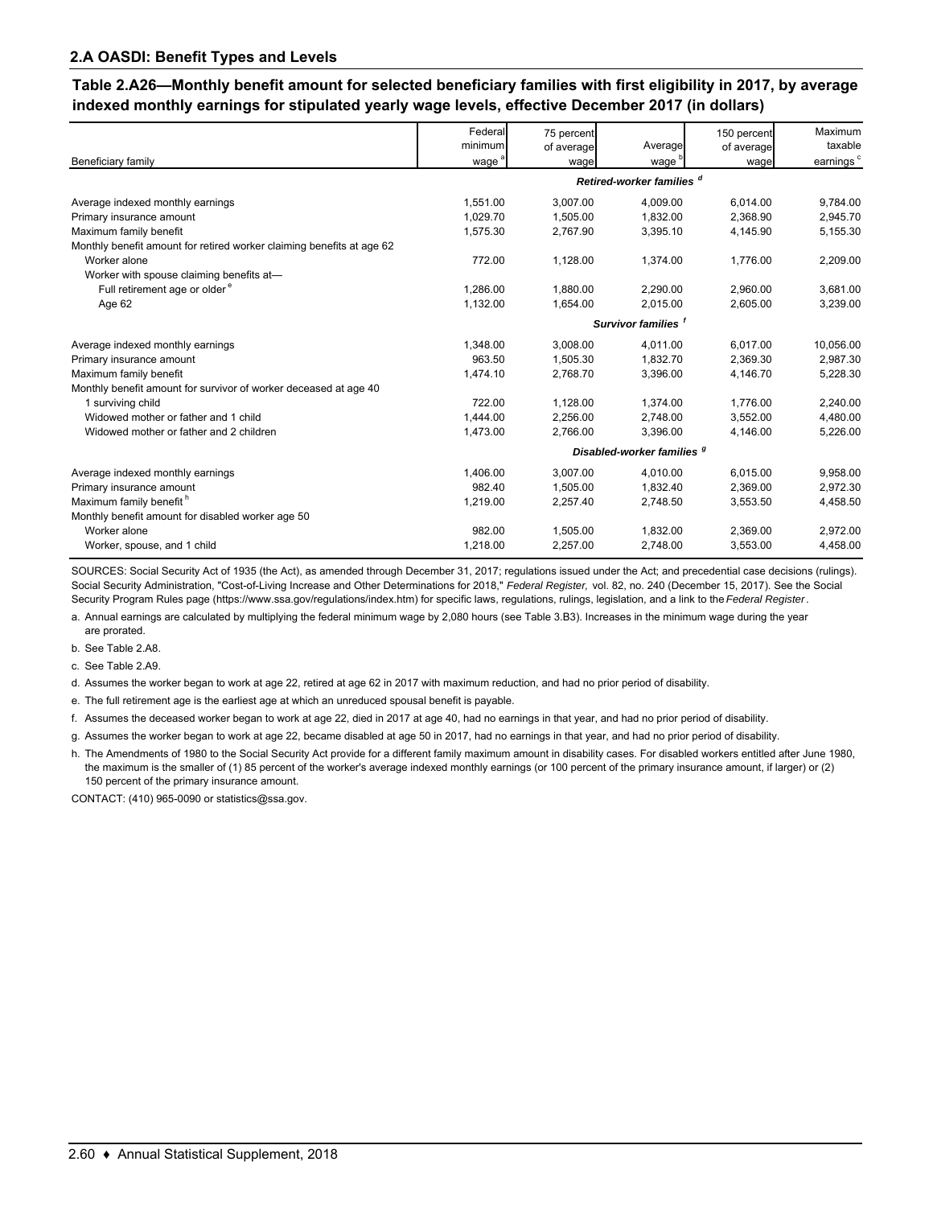**Table 2.A26—Monthly benefit amount for selected beneficiary families with first eligibility in 2017, by average indexed monthly earnings for stipulated yearly wage levels, effective December 2017 (in dollars)**

|                                                                       | Federal<br>minimum | 75 percent         | Average                               | 150 percent        | Maximum<br>taxable    |
|-----------------------------------------------------------------------|--------------------|--------------------|---------------------------------------|--------------------|-----------------------|
| Beneficiary family                                                    | wage <sup>a</sup>  | of average<br>wage | wage '                                | of average<br>wage | earnings <sup>c</sup> |
|                                                                       |                    |                    | Retired-worker families d             |                    |                       |
| Average indexed monthly earnings                                      | 1,551.00           | 3,007.00           | 4,009.00                              | 6,014.00           | 9,784.00              |
| Primary insurance amount                                              | 1.029.70           | 1.505.00           | 1.832.00                              | 2.368.90           | 2,945.70              |
| Maximum family benefit                                                | 1,575.30           | 2,767.90           | 3,395.10                              | 4,145.90           | 5,155.30              |
| Monthly benefit amount for retired worker claiming benefits at age 62 |                    |                    |                                       |                    |                       |
| Worker alone                                                          | 772.00             | 1,128.00           | 1,374.00                              | 1,776.00           | 2,209.00              |
| Worker with spouse claiming benefits at-                              |                    |                    |                                       |                    |                       |
| Full retirement age or older <sup>e</sup>                             | 1,286.00           | 1,880.00           | 2,290.00                              | 2,960.00           | 3,681.00              |
| Age 62                                                                | 1,132.00           | 1,654.00           | 2,015.00                              | 2,605.00           | 3,239.00              |
|                                                                       |                    |                    | Survivor families f                   |                    |                       |
| Average indexed monthly earnings                                      | 1.348.00           | 3,008.00           | 4.011.00                              | 6.017.00           | 10,056.00             |
| Primary insurance amount                                              | 963.50             | 1,505.30           | 1,832.70                              | 2,369.30           | 2,987.30              |
| Maximum family benefit                                                | 1,474.10           | 2,768.70           | 3,396.00                              | 4,146.70           | 5,228.30              |
| Monthly benefit amount for survivor of worker deceased at age 40      |                    |                    |                                       |                    |                       |
| 1 surviving child                                                     | 722.00             | 1,128.00           | 1.374.00                              | 1.776.00           | 2.240.00              |
| Widowed mother or father and 1 child                                  | 1,444.00           | 2,256.00           | 2,748.00                              | 3,552.00           | 4,480.00              |
| Widowed mother or father and 2 children                               | 1,473.00           | 2,766.00           | 3,396.00                              | 4,146.00           | 5,226.00              |
|                                                                       |                    |                    | Disabled-worker families <sup>g</sup> |                    |                       |
| Average indexed monthly earnings                                      | 1.406.00           | 3.007.00           | 4.010.00                              | 6.015.00           | 9.958.00              |
| Primary insurance amount                                              | 982.40             | 1,505.00           | 1,832.40                              | 2,369.00           | 2,972.30              |
| Maximum family benefit <sup>h</sup>                                   | 1,219.00           | 2,257.40           | 2,748.50                              | 3,553.50           | 4,458.50              |
| Monthly benefit amount for disabled worker age 50                     |                    |                    |                                       |                    |                       |
| Worker alone                                                          | 982.00             | 1,505.00           | 1,832.00                              | 2,369.00           | 2,972.00              |
| Worker, spouse, and 1 child                                           | 1,218.00           | 2,257.00           | 2,748.00                              | 3,553.00           | 4,458.00              |

SOURCES: Social Security Act of 1935 (the Act), as amended through December 31, 2017; regulations issued under the Act; and precedential case decisions (rulings). Social Security Administration, "Cost-of-Living Increase and Other Determinations for 2018," *Federal Register,* vol. 82, no. 240 (December 15, 2017). See the Social Security Program Rules page (https://www.ssa.gov/regulations/index.htm) for specific laws, regulations, rulings, legislation, and a link to the *Federal Register*.

a. Annual earnings are calculated by multiplying the federal minimum wage by 2,080 hours (see Table 3.B3). Increases in the minimum wage during the year are prorated.

b. See Table 2.A8.

c. See Table 2.A9.

d. Assumes the worker began to work at age 22, retired at age 62 in 2017 with maximum reduction, and had no prior period of disability.

e. The full retirement age is the earliest age at which an unreduced spousal benefit is payable.

f. Assumes the deceased worker began to work at age 22, died in 2017 at age 40, had no earnings in that year, and had no prior period of disability.

g. Assumes the worker began to work at age 22, became disabled at age 50 in 2017, had no earnings in that year, and had no prior period of disability.

h. The Amendments of 1980 to the Social Security Act provide for a different family maximum amount in disability cases. For disabled workers entitled after June 1980, the maximum is the smaller of (1) 85 percent of the worker's average indexed monthly earnings (or 100 percent of the primary insurance amount, if larger) or (2) 150 percent of the primary insurance amount.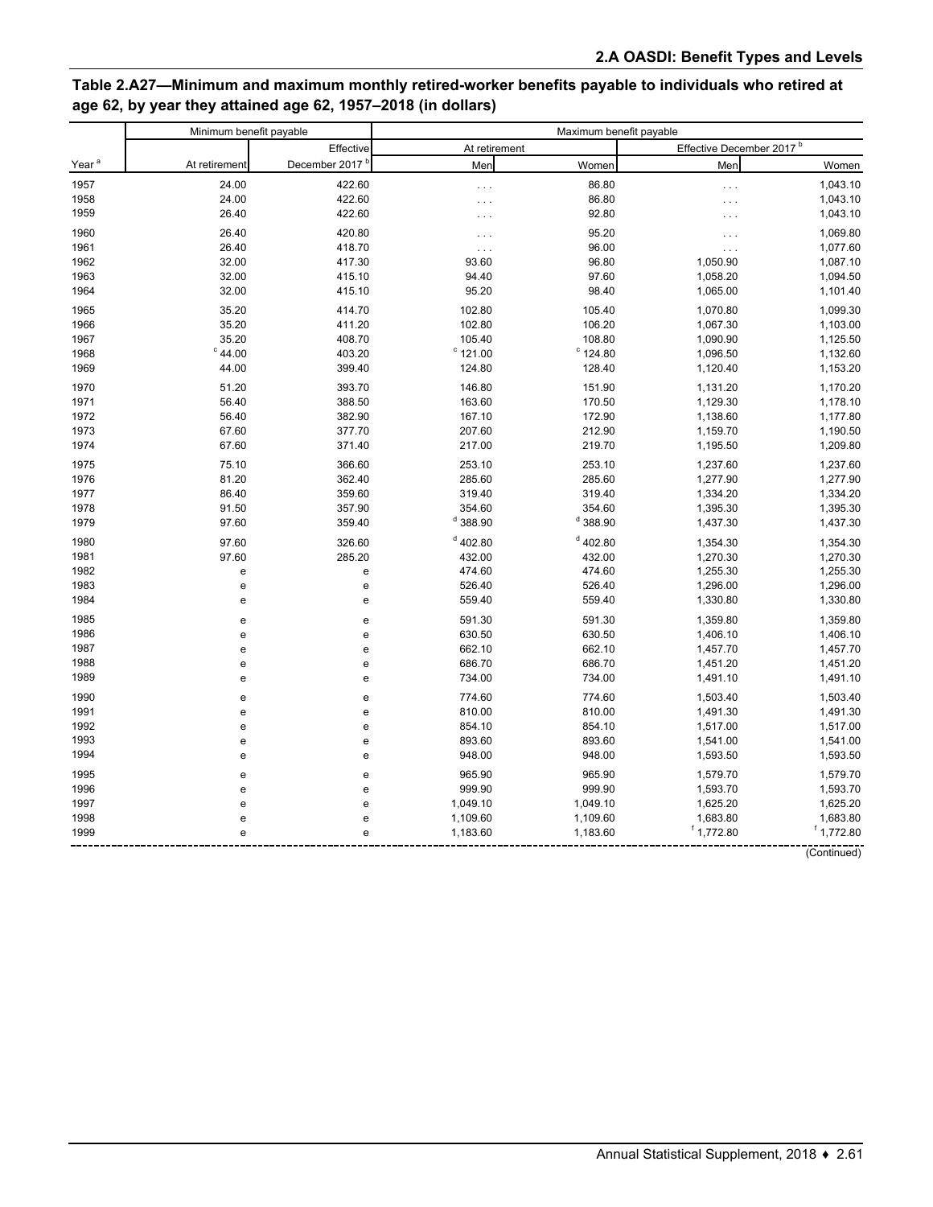### Table 2.A27-Minimum and maximum monthly retired-worker benefits payable to individuals who retired at age 62, by year they attained age 62, 1957-2018 (in dollars)

|                   |                  | Minimum benefit payable    |                   | Maximum benefit payable |                                      |              |  |
|-------------------|------------------|----------------------------|-------------------|-------------------------|--------------------------------------|--------------|--|
|                   |                  | Effective                  | At retirement     |                         | Effective December 2017 <sup>b</sup> |              |  |
| Year <sup>a</sup> | At retirement    | December 2017 <sup>t</sup> | Men               | Women                   | Men                                  | Women        |  |
| 1957              | 24.00            | 422.60                     | $\cdots$          | 86.80                   | $\ddots$                             | 1,043.10     |  |
| 1958              | 24.00            | 422.60                     | $\ldots$          | 86.80                   | .                                    | 1,043.10     |  |
| 1959              | 26.40            | 422.60                     | $\cdots$          | 92.80                   | .                                    | 1,043.10     |  |
| 1960              | 26.40            | 420.80                     | $\cdots$          | 95.20                   | $\cdots$                             | 1,069.80     |  |
| 1961              | 26.40            | 418.70                     | $\ldots$          | 96.00                   | $\sim$ .                             | 1,077.60     |  |
| 1962              | 32.00            | 417.30                     | 93.60             | 96.80                   | 1,050.90                             | 1,087.10     |  |
| 1963              | 32.00            | 415.10                     | 94.40             | 97.60                   | 1,058.20                             | 1,094.50     |  |
| 1964              | 32.00            | 415.10                     | 95.20             | 98.40                   | 1,065.00                             | 1,101.40     |  |
| 1965              | 35.20            | 414.70                     | 102.80            | 105.40                  | 1,070.80                             | 1,099.30     |  |
| 1966              | 35.20            | 411.20                     | 102.80            | 106.20                  | 1,067.30                             | 1,103.00     |  |
| 1967              | 35.20            | 408.70                     | 105.40            | 108.80                  | 1,090.90                             | 1,125.50     |  |
| 1968              | $^{\circ}$ 44.00 | 403.20                     | $^{\circ}$ 121.00 | $^{\circ}$ 124.80       | 1,096.50                             | 1,132.60     |  |
| 1969              | 44.00            | 399.40                     | 124.80            | 128.40                  | 1,120.40                             | 1,153.20     |  |
| 1970              | 51.20            | 393.70                     | 146.80            | 151.90                  | 1,131.20                             | 1,170.20     |  |
| 1971              | 56.40            | 388.50                     | 163.60            | 170.50                  | 1,129.30                             | 1,178.10     |  |
| 1972              | 56.40            | 382.90                     | 167.10            | 172.90                  | 1,138.60                             | 1,177.80     |  |
| 1973              | 67.60            | 377.70                     | 207.60            | 212.90                  | 1,159.70                             | 1,190.50     |  |
| 1974              | 67.60            | 371.40                     | 217.00            | 219.70                  | 1,195.50                             | 1,209.80     |  |
| 1975              | 75.10            | 366.60                     | 253.10            | 253.10                  | 1,237.60                             | 1,237.60     |  |
| 1976              | 81.20            | 362.40                     | 285.60            | 285.60                  | 1,277.90                             | 1,277.90     |  |
| 1977              | 86.40            | 359.60                     | 319.40            | 319.40                  | 1,334.20                             | 1,334.20     |  |
| 1978              | 91.50            | 357.90                     | 354.60            | 354.60                  | 1,395.30                             | 1,395.30     |  |
| 1979              | 97.60            | 359.40                     | $d$ 388.90        | $d$ 388.90              | 1,437.30                             | 1,437.30     |  |
| 1980              | 97.60            | 326.60                     | $d$ 402.80        | $d$ 402.80              | 1,354.30                             | 1,354.30     |  |
| 1981              | 97.60            | 285.20                     | 432.00            | 432.00                  | 1,270.30                             | 1,270.30     |  |
| 1982              | e                | e                          | 474.60            | 474.60                  | 1,255.30                             | 1,255.30     |  |
| 1983              | e                | e                          | 526.40            | 526.40                  | 1,296.00                             | 1,296.00     |  |
| 1984              | е                | e                          | 559.40            | 559.40                  | 1,330.80                             | 1,330.80     |  |
| 1985              | е                | e                          | 591.30            | 591.30                  | 1,359.80                             | 1,359.80     |  |
| 1986              | е                | e                          | 630.50            | 630.50                  | 1,406.10                             | 1,406.10     |  |
| 1987              | e                | e                          | 662.10            | 662.10                  | 1,457.70                             | 1,457.70     |  |
| 1988              | e                | e                          | 686.70            | 686.70                  | 1,451.20                             | 1,451.20     |  |
| 1989              | е                | e                          | 734.00            | 734.00                  | 1,491.10                             | 1,491.10     |  |
| 1990              | e                | e                          | 774.60            | 774.60                  | 1,503.40                             | 1,503.40     |  |
| 1991              | e                | e                          | 810.00            | 810.00                  | 1,491.30                             | 1,491.30     |  |
| 1992              | е                | e                          | 854.10            | 854.10                  | 1,517.00                             | 1,517.00     |  |
| 1993              | е                | e                          | 893.60            | 893.60                  | 1,541.00                             | 1,541.00     |  |
| 1994              | е                | е                          | 948.00            | 948.00                  | 1,593.50                             | 1,593.50     |  |
| 1995              | е                | e                          | 965.90            | 965.90                  | 1,579.70                             | 1,579.70     |  |
| 1996              | e                | е                          | 999.90            | 999.90                  | 1,593.70                             | 1,593.70     |  |
| 1997              | е                | e                          | 1,049.10          | 1,049.10                | 1,625.20                             | 1,625.20     |  |
| 1998              | e                | e                          | 1,109.60          | 1,109.60                | 1,683.80                             | 1,683.80     |  |
| 1999              | e                | e                          | 1,183.60          | 1,183.60                | 1,772.80                             | $f$ 1,772.80 |  |
|                   |                  |                            |                   |                         |                                      | (Continued)  |  |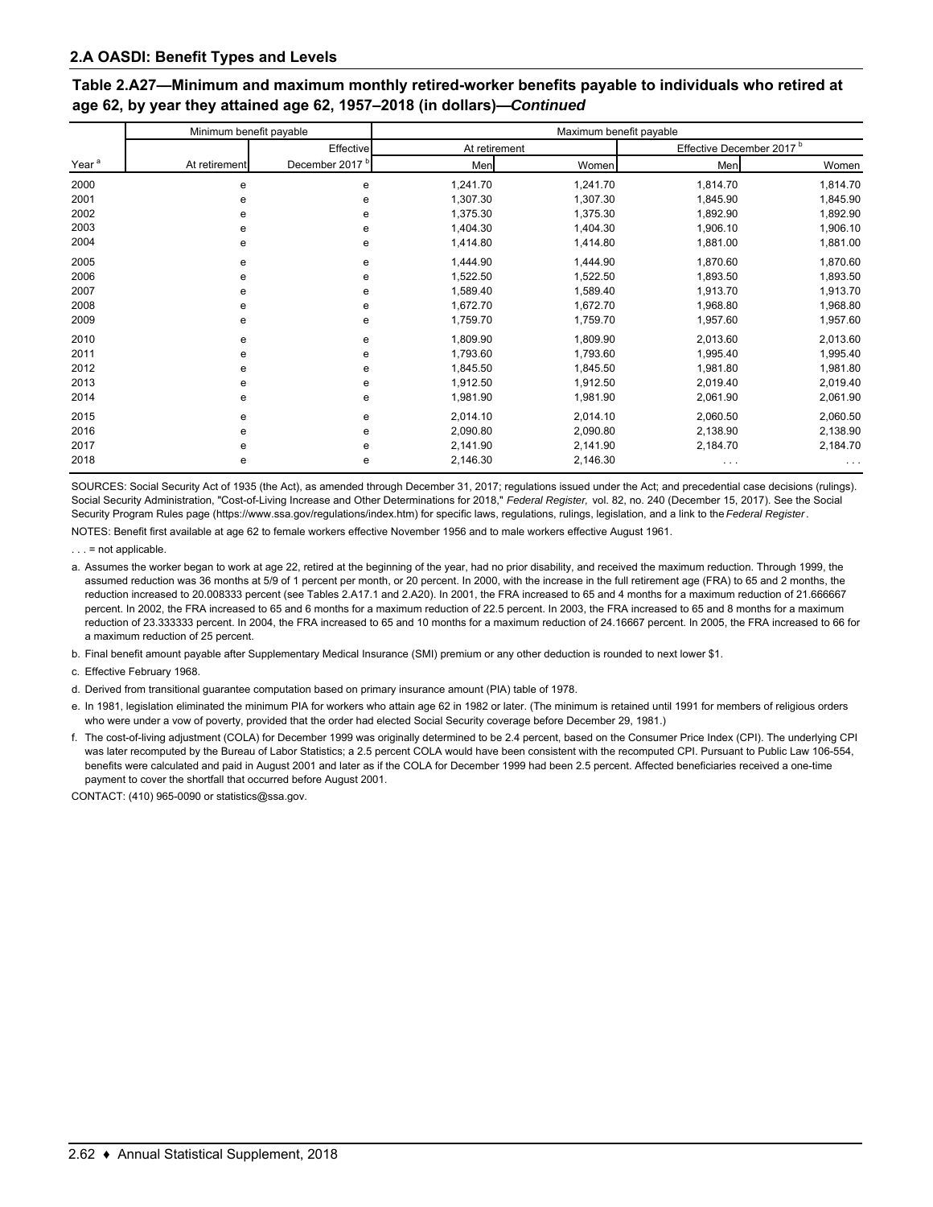### Table 2.A27—Minimum and maximum monthly retired-worker benefits payable to individuals who retired at age 62, by year they attained age 62, 1957-2018 (in dollars)-Continued

|                   | Minimum benefit payable |                            | Maximum benefit payable |          |                                      |          |
|-------------------|-------------------------|----------------------------|-------------------------|----------|--------------------------------------|----------|
|                   |                         | Effective                  | At retirement           |          | Effective December 2017 <sup>b</sup> |          |
| Year <sup>a</sup> | At retirement           | December 2017 <sup>b</sup> | Men                     | Women    | Men                                  | Women    |
| 2000              | е                       | е                          | 1,241.70                | 1,241.70 | 1,814.70                             | 1,814.70 |
| 2001              | e                       | е                          | 1,307.30                | 1,307.30 | 1,845.90                             | 1,845.90 |
| 2002              | е                       | е                          | 1,375.30                | 1,375.30 | 1,892.90                             | 1,892.90 |
| 2003              | е                       | е                          | 1,404.30                | 1,404.30 | 1,906.10                             | 1,906.10 |
| 2004              | е                       | е                          | 1,414.80                | 1,414.80 | 1,881.00                             | 1,881.00 |
| 2005              | е                       | е                          | 1,444.90                | 1,444.90 | 1,870.60                             | 1,870.60 |
| 2006              | е                       | е                          | 1,522.50                | 1,522.50 | 1,893.50                             | 1,893.50 |
| 2007              | е                       | е                          | 1,589.40                | 1,589.40 | 1,913.70                             | 1,913.70 |
| 2008              | е                       | е                          | 1,672.70                | 1,672.70 | 1,968.80                             | 1,968.80 |
| 2009              | е                       | е                          | 1,759.70                | 1,759.70 | 1,957.60                             | 1,957.60 |
| 2010              | е                       | е                          | 1,809.90                | 1,809.90 | 2,013.60                             | 2,013.60 |
| 2011              | е                       | e                          | 1,793.60                | 1,793.60 | 1,995.40                             | 1,995.40 |
| 2012              | е                       | e                          | 1,845.50                | 1,845.50 | 1,981.80                             | 1,981.80 |
| 2013              | е                       | e                          | 1,912.50                | 1,912.50 | 2,019.40                             | 2,019.40 |
| 2014              | е                       | e                          | 1,981.90                | 1,981.90 | 2,061.90                             | 2,061.90 |
| 2015              | e                       | е                          | 2,014.10                | 2,014.10 | 2,060.50                             | 2,060.50 |
| 2016              | е                       | e                          | 2,090.80                | 2,090.80 | 2,138.90                             | 2,138.90 |
| 2017              | е                       | e                          | 2,141.90                | 2,141.90 | 2,184.70                             | 2,184.70 |
| 2018              | е                       | е                          | 2,146.30                | 2,146.30 | .                                    | $\cdots$ |

SOURCES: Social Security Act of 1935 (the Act), as amended through December 31, 2017; regulations issued under the Act; and precedential case decisions (rulings). Social Security Administration, "Cost-of-Living Increase and Other Determinations for 2018," Federal Register, vol. 82, no. 240 (December 15, 2017). See the Social Security Program Rules page (https://www.ssa.gov/regulations/index.htm) for specific laws, regulations, rulings, legislation, and a link to the Federal Register.

NOTES: Benefit first available at age 62 to female workers effective November 1956 and to male workers effective August 1961.

 $\ldots$  = not applicable.

a. Assumes the worker began to work at age 22, retired at the beginning of the year, had no prior disability, and received the maximum reduction. Through 1999, the assumed reduction was 36 months at 5/9 of 1 percent per month, or 20 percent. In 2000, with the increase in the full retirement age (FRA) to 65 and 2 months, the reduction increased to 20.008333 percent (see Tables 2.A17.1 and 2.A20). In 2001, the FRA increased to 65 and 4 months for a maximum reduction of 21.666667 percent. In 2002, the FRA increased to 65 and 6 months for a maximum reduction of 22.5 percent. In 2003, the FRA increased to 65 and 8 months for a maximum reduction of 23.333333 percent. In 2004, the FRA increased to 65 and 10 months for a maximum reduction of 24.16667 percent. In 2005, the FRA increased to 66 for a maximum reduction of 25 percent.

b. Final benefit amount payable after Supplementary Medical Insurance (SMI) premium or any other deduction is rounded to next lower \$1.

c. Effective February 1968.

d. Derived from transitional guarantee computation based on primary insurance amount (PIA) table of 1978.

e. In 1981, legislation eliminated the minimum PIA for workers who attain age 62 in 1982 or later. (The minimum is retained until 1991 for members of religious orders who were under a vow of poverty, provided that the order had elected Social Security coverage before December 29, 1981.)

f. The cost-of-living adjustment (COLA) for December 1999 was originally determined to be 2.4 percent, based on the Consumer Price Index (CPI). The underlying CPI was later recomputed by the Bureau of Labor Statistics; a 2.5 percent COLA would have been consistent with the recomputed CPI. Pursuant to Public Law 106-554, benefits were calculated and paid in August 2001 and later as if the COLA for December 1999 had been 2.5 percent. Affected beneficiaries received a one-time payment to cover the shortfall that occurred before August 2001.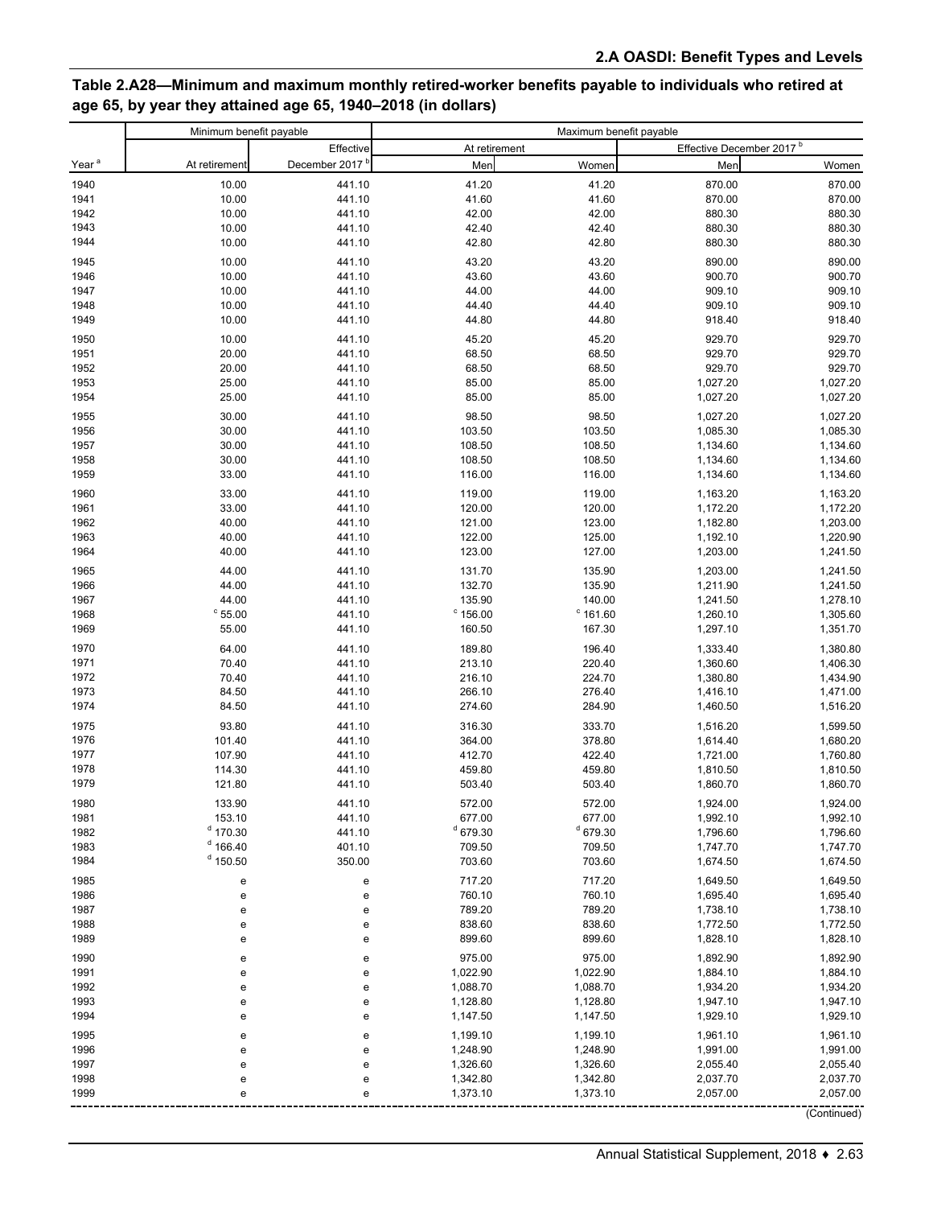### **Table 2.A28—Minimum and maximum monthly retired-worker benefits payable to individuals who retired at age 65, by year they attained age 65, 1940–2018 (in dollars)**

|                   | Minimum benefit payable |                            | Maximum benefit payable |                      |                                      |                      |
|-------------------|-------------------------|----------------------------|-------------------------|----------------------|--------------------------------------|----------------------|
|                   |                         | Effective                  | At retirement           |                      | Effective December 2017 <sup>b</sup> |                      |
| Year <sup>a</sup> | At retirement           | December 2017 <sup>b</sup> | Men                     | Women                | Men                                  | Women                |
| 1940              | 10.00                   | 441.10                     | 41.20                   | 41.20                | 870.00                               | 870.00               |
| 1941              | 10.00                   | 441.10                     | 41.60                   | 41.60                | 870.00                               | 870.00               |
| 1942              | 10.00                   | 441.10                     | 42.00                   | 42.00                | 880.30                               | 880.30               |
| 1943              | 10.00                   | 441.10                     | 42.40                   | 42.40                | 880.30                               | 880.30               |
| 1944              | 10.00                   | 441.10                     | 42.80                   | 42.80                | 880.30                               | 880.30               |
| 1945              | 10.00                   | 441.10                     | 43.20                   | 43.20                | 890.00                               | 890.00               |
| 1946              | 10.00                   | 441.10                     | 43.60                   | 43.60                | 900.70                               | 900.70               |
| 1947              | 10.00                   | 441.10                     | 44.00                   | 44.00                | 909.10                               | 909.10               |
| 1948              | 10.00                   | 441.10                     | 44.40                   | 44.40                | 909.10                               | 909.10               |
| 1949              | 10.00                   | 441.10                     | 44.80                   | 44.80                | 918.40                               | 918.40               |
| 1950              | 10.00                   | 441.10                     | 45.20                   | 45.20                | 929.70                               | 929.70               |
| 1951              | 20.00                   | 441.10                     | 68.50                   | 68.50                | 929.70                               | 929.70               |
| 1952              | 20.00                   | 441.10                     | 68.50                   | 68.50                | 929.70                               | 929.70               |
| 1953<br>1954      | 25.00<br>25.00          | 441.10                     | 85.00<br>85.00          | 85.00<br>85.00       | 1,027.20                             | 1,027.20<br>1,027.20 |
|                   |                         | 441.10                     |                         |                      | 1,027.20                             |                      |
| 1955              | 30.00                   | 441.10                     | 98.50                   | 98.50                | 1,027.20                             | 1,027.20             |
| 1956<br>1957      | 30.00<br>30.00          | 441.10                     | 103.50                  | 103.50               | 1,085.30<br>1,134.60                 | 1,085.30             |
| 1958              | 30.00                   | 441.10<br>441.10           | 108.50<br>108.50        | 108.50<br>108.50     | 1,134.60                             | 1,134.60<br>1,134.60 |
| 1959              | 33.00                   | 441.10                     | 116.00                  | 116.00               | 1,134.60                             | 1,134.60             |
|                   | 33.00                   |                            | 119.00                  |                      |                                      |                      |
| 1960<br>1961      | 33.00                   | 441.10<br>441.10           | 120.00                  | 119.00<br>120.00     | 1,163.20<br>1,172.20                 | 1,163.20<br>1,172.20 |
| 1962              | 40.00                   | 441.10                     | 121.00                  | 123.00               | 1,182.80                             | 1,203.00             |
| 1963              | 40.00                   | 441.10                     | 122.00                  | 125.00               | 1,192.10                             | 1,220.90             |
| 1964              | 40.00                   | 441.10                     | 123.00                  | 127.00               | 1,203.00                             | 1,241.50             |
| 1965              | 44.00                   | 441.10                     | 131.70                  | 135.90               | 1,203.00                             | 1,241.50             |
| 1966              | 44.00                   | 441.10                     | 132.70                  | 135.90               | 1,211.90                             | 1,241.50             |
| 1967              | 44.00                   | 441.10                     | 135.90                  | 140.00               | 1,241.50                             | 1,278.10             |
| 1968              | $^{\circ}$ 55.00        | 441.10                     | $^{\circ}$ 156.00       | $^{\circ}$ 161.60    | 1,260.10                             | 1,305.60             |
| 1969              | 55.00                   | 441.10                     | 160.50                  | 167.30               | 1,297.10                             | 1,351.70             |
| 1970              | 64.00                   | 441.10                     | 189.80                  | 196.40               | 1,333.40                             | 1,380.80             |
| 1971              | 70.40                   | 441.10                     | 213.10                  | 220.40               | 1,360.60                             | 1,406.30             |
| 1972              | 70.40                   | 441.10                     | 216.10                  | 224.70               | 1,380.80                             | 1,434.90             |
| 1973              | 84.50                   | 441.10                     | 266.10                  | 276.40               | 1,416.10                             | 1,471.00             |
| 1974              | 84.50                   | 441.10                     | 274.60                  | 284.90               | 1,460.50                             | 1,516.20             |
| 1975              | 93.80                   | 441.10                     | 316.30                  | 333.70               | 1,516.20                             | 1,599.50             |
| 1976              | 101.40                  | 441.10                     | 364.00                  | 378.80               | 1,614.40                             | 1,680.20             |
| 1977              | 107.90                  | 441.10                     | 412.70                  | 422.40               | 1,721.00                             | 1,760.80             |
| 1978<br>1979      | 114.30<br>121.80        | 441.10<br>441.10           | 459.80<br>503.40        | 459.80<br>503.40     | 1,810.50<br>1,860.70                 | 1,810.50<br>1,860.70 |
|                   |                         |                            |                         |                      |                                      |                      |
| 1980              | 133.90                  | 441.10                     | 572.00                  | 572.00               | 1,924.00                             | 1,924.00             |
| 1981<br>1982      | 153.10<br>$d$ 170.30    | 441.10<br>441.10           | 677.00<br>$d$ 679.30    | 677.00<br>$d$ 679.30 | 1,992.10<br>1,796.60                 | 1,992.10<br>1,796.60 |
| 1983              | $d$ 166.40              | 401.10                     | 709.50                  | 709.50               | 1,747.70                             | 1,747.70             |
| 1984              | $d$ 150.50              | 350.00                     | 703.60                  | 703.60               | 1,674.50                             | 1,674.50             |
| 1985              |                         |                            | 717.20                  | 717.20               | 1,649.50                             | 1,649.50             |
| 1986              | e<br>e                  | е<br>e                     | 760.10                  | 760.10               | 1,695.40                             | 1,695.40             |
| 1987              | e                       | e                          | 789.20                  | 789.20               | 1,738.10                             | 1,738.10             |
| 1988              | е                       | е                          | 838.60                  | 838.60               | 1,772.50                             | 1,772.50             |
| 1989              | e                       | e                          | 899.60                  | 899.60               | 1,828.10                             | 1,828.10             |
| 1990              | e                       | е                          | 975.00                  | 975.00               | 1,892.90                             | 1,892.90             |
| 1991              | e                       | е                          | 1,022.90                | 1,022.90             | 1,884.10                             | 1,884.10             |
| 1992              | e                       | e                          | 1,088.70                | 1,088.70             | 1,934.20                             | 1,934.20             |
| 1993              | е                       | е                          | 1,128.80                | 1,128.80             | 1,947.10                             | 1,947.10             |
| 1994              | е                       | е                          | 1,147.50                | 1,147.50             | 1,929.10                             | 1,929.10             |
| 1995              | e                       | e                          | 1,199.10                | 1,199.10             | 1,961.10                             | 1,961.10             |
| 1996              | е                       | e                          | 1,248.90                | 1,248.90             | 1,991.00                             | 1,991.00             |
| 1997              | e                       | e                          | 1,326.60                | 1,326.60             | 2,055.40                             | 2,055.40             |
| 1998              | e                       | e                          | 1,342.80                | 1,342.80             | 2,037.70                             | 2,037.70             |
| 1999              | е                       | ė                          | 1,373.10                | 1,373.10             | 2,057.00                             | 2,057.00             |
|                   |                         |                            |                         |                      |                                      | (Continued)          |